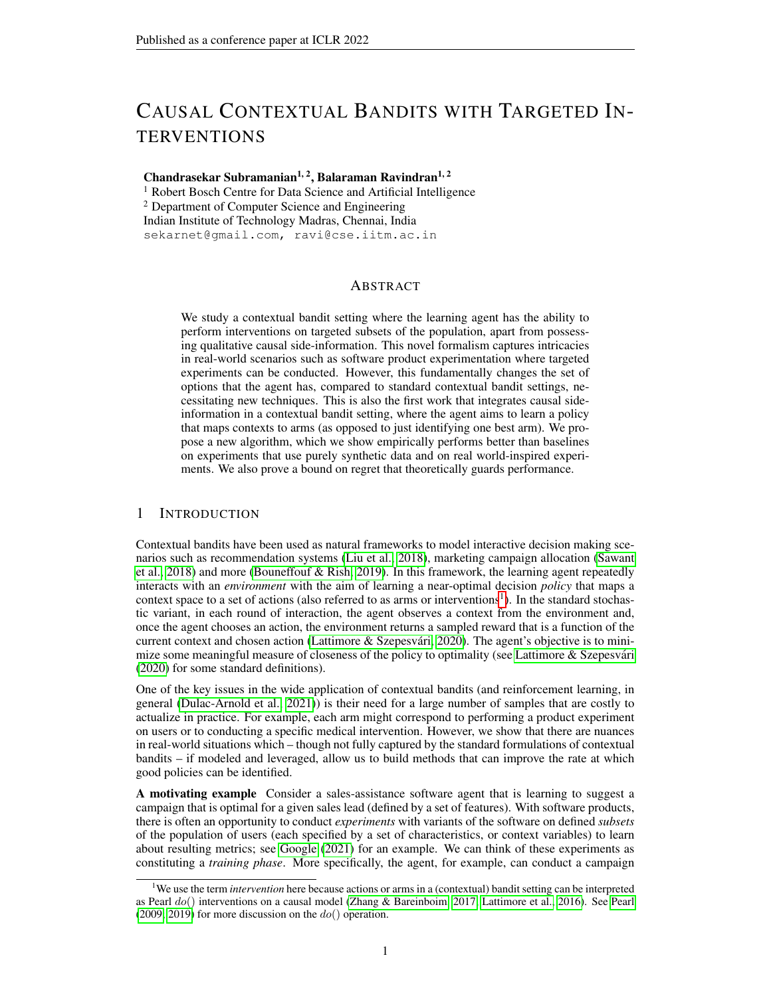# CAUSAL CONTEXTUAL BANDITS WITH TARGETED IN-**TERVENTIONS**

Chandrasekar Subramanian<sup>1, 2</sup>, Balaraman Ravindran<sup>1, 2</sup>

<sup>1</sup> Robert Bosch Centre for Data Science and Artificial Intelligence <sup>2</sup> Department of Computer Science and Engineering Indian Institute of Technology Madras, Chennai, India sekarnet@gmail.com, ravi@cse.iitm.ac.in

## ABSTRACT

We study a contextual bandit setting where the learning agent has the ability to perform interventions on targeted subsets of the population, apart from possessing qualitative causal side-information. This novel formalism captures intricacies in real-world scenarios such as software product experimentation where targeted experiments can be conducted. However, this fundamentally changes the set of options that the agent has, compared to standard contextual bandit settings, necessitating new techniques. This is also the first work that integrates causal sideinformation in a contextual bandit setting, where the agent aims to learn a policy that maps contexts to arms (as opposed to just identifying one best arm). We propose a new algorithm, which we show empirically performs better than baselines on experiments that use purely synthetic data and on real world-inspired experiments. We also prove a bound on regret that theoretically guards performance.

# 1 INTRODUCTION

Contextual bandits have been used as natural frameworks to model interactive decision making scenarios such as recommendation systems [\(Liu et al., 2018\)](#page-10-0), marketing campaign allocation [\(Sawant](#page-11-0) [et al., 2018\)](#page-11-0) and more [\(Bouneffouf & Rish, 2019\)](#page-10-1). In this framework, the learning agent repeatedly interacts with an *environment* with the aim of learning a near-optimal decision *policy* that maps a context space to a set of actions (also referred to as arms or interventions<sup>[1](#page-0-0)</sup>). In the standard stochastic variant, in each round of interaction, the agent observes a context from the environment and, once the agent chooses an action, the environment returns a sampled reward that is a function of the current context and chosen action (Lattimore & Szepesvári, 2020). The agent's objective is to minimize some meaningful measure of closeness of the policy to optimality (see Lattimore  $\&$  Szepesvári [\(2020\)](#page-10-2) for some standard definitions).

One of the key issues in the wide application of contextual bandits (and reinforcement learning, in general [\(Dulac-Arnold et al., 2021\)](#page-10-3)) is their need for a large number of samples that are costly to actualize in practice. For example, each arm might correspond to performing a product experiment on users or to conducting a specific medical intervention. However, we show that there are nuances in real-world situations which – though not fully captured by the standard formulations of contextual bandits – if modeled and leveraged, allow us to build methods that can improve the rate at which good policies can be identified.

A motivating example Consider a sales-assistance software agent that is learning to suggest a campaign that is optimal for a given sales lead (defined by a set of features). With software products, there is often an opportunity to conduct *experiments* with variants of the software on defined *subsets* of the population of users (each specified by a set of characteristics, or context variables) to learn about resulting metrics; see [Google](#page-10-4) [\(2021\)](#page-10-4) for an example. We can think of these experiments as constituting a *training phase*. More specifically, the agent, for example, can conduct a campaign

<span id="page-0-0"></span><sup>1</sup>We use the term *intervention* here because actions or arms in a (contextual) bandit setting can be interpreted as [Pearl](#page-11-2)  $do()$  interventions on a causal model [\(Zhang & Bareinboim, 2017;](#page-11-1) [Lattimore et al., 2016\)](#page-10-5). See Pearl [\(2009;](#page-11-2) [2019\)](#page-11-3) for more discussion on the  $do()$  operation.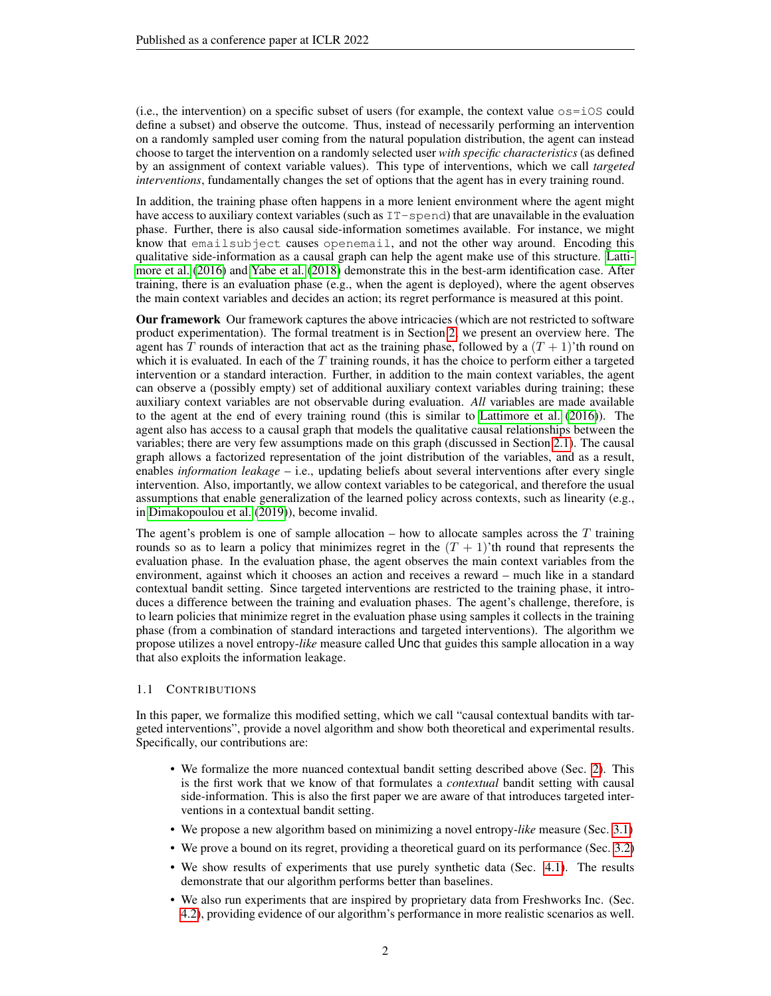(i.e., the intervention) on a specific subset of users (for example, the context value  $\circ$ s=i $\circ$ S could define a subset) and observe the outcome. Thus, instead of necessarily performing an intervention on a randomly sampled user coming from the natural population distribution, the agent can instead choose to target the intervention on a randomly selected user *with specific characteristics* (as defined by an assignment of context variable values). This type of interventions, which we call *targeted interventions*, fundamentally changes the set of options that the agent has in every training round.

In addition, the training phase often happens in a more lenient environment where the agent might have access to auxiliary context variables (such as  $IT-spend$ ) that are unavailable in the evaluation phase. Further, there is also causal side-information sometimes available. For instance, we might know that emailsubject causes openemail, and not the other way around. Encoding this qualitative side-information as a causal graph can help the agent make use of this structure. [Latti](#page-10-5)[more et al.](#page-10-5) [\(2016\)](#page-10-5) and [Yabe et al.](#page-11-4) [\(2018\)](#page-11-4) demonstrate this in the best-arm identification case. After training, there is an evaluation phase (e.g., when the agent is deployed), where the agent observes the main context variables and decides an action; its regret performance is measured at this point.

Our framework Our framework captures the above intricacies (which are not restricted to software product experimentation). The formal treatment is in Section [2;](#page-2-0) we present an overview here. The agent has T rounds of interaction that act as the training phase, followed by a  $(T + 1)$ 'th round on which it is evaluated. In each of the  $T$  training rounds, it has the choice to perform either a targeted intervention or a standard interaction. Further, in addition to the main context variables, the agent can observe a (possibly empty) set of additional auxiliary context variables during training; these auxiliary context variables are not observable during evaluation. *All* variables are made available to the agent at the end of every training round (this is similar to [Lattimore et al.](#page-10-5) [\(2016\)](#page-10-5)). The agent also has access to a causal graph that models the qualitative causal relationships between the variables; there are very few assumptions made on this graph (discussed in Section [2.1\)](#page-3-0). The causal graph allows a factorized representation of the joint distribution of the variables, and as a result, enables *information leakage* – i.e., updating beliefs about several interventions after every single intervention. Also, importantly, we allow context variables to be categorical, and therefore the usual assumptions that enable generalization of the learned policy across contexts, such as linearity (e.g., in [Dimakopoulou et al.](#page-10-6) [\(2019\)](#page-10-6)), become invalid.

The agent's problem is one of sample allocation – how to allocate samples across the  $T$  training rounds so as to learn a policy that minimizes regret in the  $(T + 1)$ 'th round that represents the evaluation phase. In the evaluation phase, the agent observes the main context variables from the environment, against which it chooses an action and receives a reward – much like in a standard contextual bandit setting. Since targeted interventions are restricted to the training phase, it introduces a difference between the training and evaluation phases. The agent's challenge, therefore, is to learn policies that minimize regret in the evaluation phase using samples it collects in the training phase (from a combination of standard interactions and targeted interventions). The algorithm we propose utilizes a novel entropy-*like* measure called Unc that guides this sample allocation in a way that also exploits the information leakage.

#### <span id="page-1-0"></span>1.1 CONTRIBUTIONS

In this paper, we formalize this modified setting, which we call "causal contextual bandits with targeted interventions", provide a novel algorithm and show both theoretical and experimental results. Specifically, our contributions are:

- We formalize the more nuanced contextual bandit setting described above (Sec. [2\)](#page-2-0). This is the first work that we know of that formulates a *contextual* bandit setting with causal side-information. This is also the first paper we are aware of that introduces targeted interventions in a contextual bandit setting.
- We propose a new algorithm based on minimizing a novel entropy-*like* measure (Sec. [3.1\)](#page-4-0)
- We prove a bound on its regret, providing a theoretical guard on its performance (Sec. [3.2\)](#page-5-0)
- We show results of experiments that use purely synthetic data (Sec. [4.1\)](#page-7-0). The results demonstrate that our algorithm performs better than baselines.
- We also run experiments that are inspired by proprietary data from Freshworks Inc. (Sec. [4.2\)](#page-8-0), providing evidence of our algorithm's performance in more realistic scenarios as well.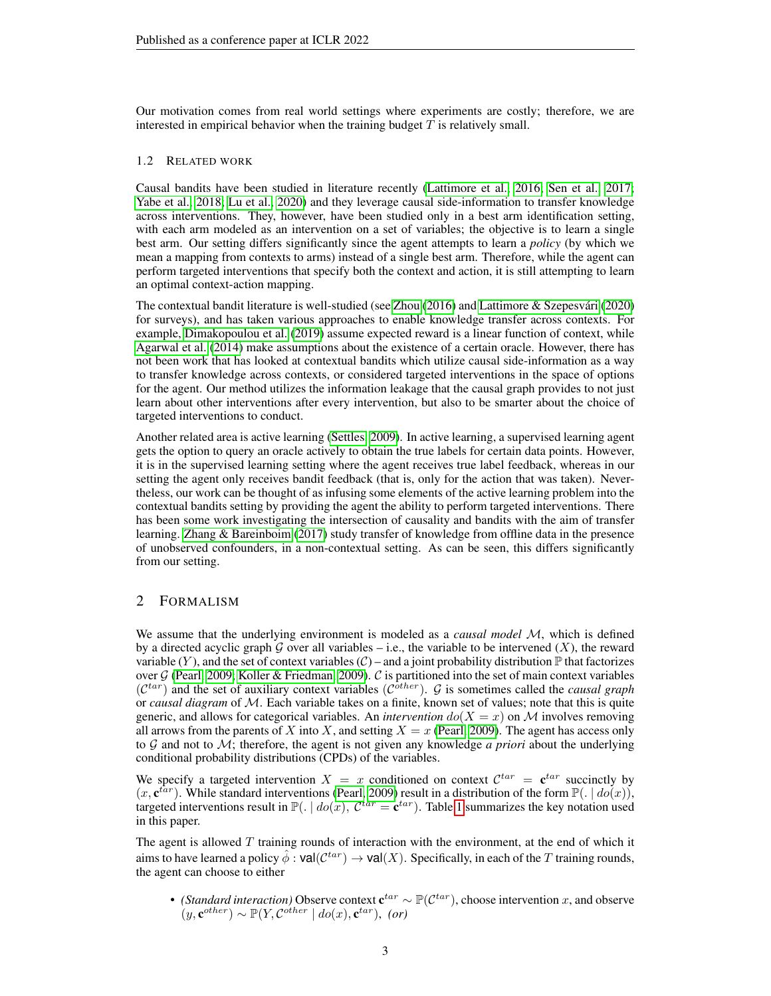Our motivation comes from real world settings where experiments are costly; therefore, we are interested in empirical behavior when the training budget  $T$  is relatively small.

#### 1.2 RELATED WORK

Causal bandits have been studied in literature recently [\(Lattimore et al., 2016;](#page-10-5) [Sen et al., 2017;](#page-11-5) [Yabe et al., 2018;](#page-11-4) [Lu et al., 2020\)](#page-10-7) and they leverage causal side-information to transfer knowledge across interventions. They, however, have been studied only in a best arm identification setting, with each arm modeled as an intervention on a set of variables; the objective is to learn a single best arm. Our setting differs significantly since the agent attempts to learn a *policy* (by which we mean a mapping from contexts to arms) instead of a single best arm. Therefore, while the agent can perform targeted interventions that specify both the context and action, it is still attempting to learn an optimal context-action mapping.

The contextual bandit literature is well-studied (see [Zhou](#page-11-6) [\(2016\)](#page-11-6) and [Lattimore & Szepesvari](#page-10-2) [\(2020\)](#page-10-2) ´ for surveys), and has taken various approaches to enable knowledge transfer across contexts. For example, [Dimakopoulou et al.](#page-10-6) [\(2019\)](#page-10-6) assume expected reward is a linear function of context, while [Agarwal et al.](#page-10-8) [\(2014\)](#page-10-8) make assumptions about the existence of a certain oracle. However, there has not been work that has looked at contextual bandits which utilize causal side-information as a way to transfer knowledge across contexts, or considered targeted interventions in the space of options for the agent. Our method utilizes the information leakage that the causal graph provides to not just learn about other interventions after every intervention, but also to be smarter about the choice of targeted interventions to conduct.

Another related area is active learning [\(Settles, 2009\)](#page-11-7). In active learning, a supervised learning agent gets the option to query an oracle actively to obtain the true labels for certain data points. However, it is in the supervised learning setting where the agent receives true label feedback, whereas in our setting the agent only receives bandit feedback (that is, only for the action that was taken). Nevertheless, our work can be thought of as infusing some elements of the active learning problem into the contextual bandits setting by providing the agent the ability to perform targeted interventions. There has been some work investigating the intersection of causality and bandits with the aim of transfer learning. [Zhang & Bareinboim](#page-11-1) [\(2017\)](#page-11-1) study transfer of knowledge from offline data in the presence of unobserved confounders, in a non-contextual setting. As can be seen, this differs significantly from our setting.

# <span id="page-2-0"></span>2 FORMALISM

We assume that the underlying environment is modeled as a *causal model* M, which is defined by a directed acyclic graph G over all variables – i.e., the variable to be intervened  $(X)$ , the reward variable  $(Y)$ , and the set of context variables  $(C)$  – and a joint probability distribution  $\mathbb P$  that factorizes over  $G$  [\(Pearl, 2009;](#page-11-2) [Koller & Friedman, 2009\)](#page-10-9). C is partitioned into the set of main context variables  $(C^{tar})$  and the set of auxiliary context variables  $(C^{other})$ . G is sometimes called the *causal graph* or *causal diagram* of M. Each variable takes on a finite, known set of values; note that this is quite generic, and allows for categorical variables. An *intervention*  $do(X = x)$  on M involves removing all arrows from the parents of X into X, and setting  $X = x$  [\(Pearl, 2009\)](#page-11-2). The agent has access only to G and not to M; therefore, the agent is not given any knowledge *a priori* about the underlying conditional probability distributions (CPDs) of the variables.

We specify a targeted intervention  $X = x$  conditioned on context  $\mathcal{C}^{tar} = \mathbf{c}^{tar}$  succinctly by  $(x, e^{tar})$ . While standard interventions [\(Pearl, 2009\)](#page-11-2) result in a distribution of the form  $\mathbb{P}(. | do(x))$ , targeted interventions result in  $\mathbb{P}(. \mid do(x), \mathcal{C}^{tar} = \mathbf{c}^{tar}).$  Table [1](#page-3-1) summarizes the key notation used in this paper.

The agent is allowed  $T$  training rounds of interaction with the environment, at the end of which it aims to have learned a policy  $\hat{\phi}$  :  $\mathsf{val}(\mathcal{C}^{tar}) \to \mathsf{val}(X)$ . Specifically, in each of the  $T$  training rounds, the agent can choose to either

• *(Standard interaction)* Observe context  $\mathbf{c}^{tar} \sim \mathbb{P}(\mathcal{C}^{tar})$ , choose intervention x, and observe  $(y, \mathbf{c}^{other}) \sim \mathbb{P}(Y, \mathcal{C}^{other} | do(x), \mathbf{c}^{tar}),$  (or)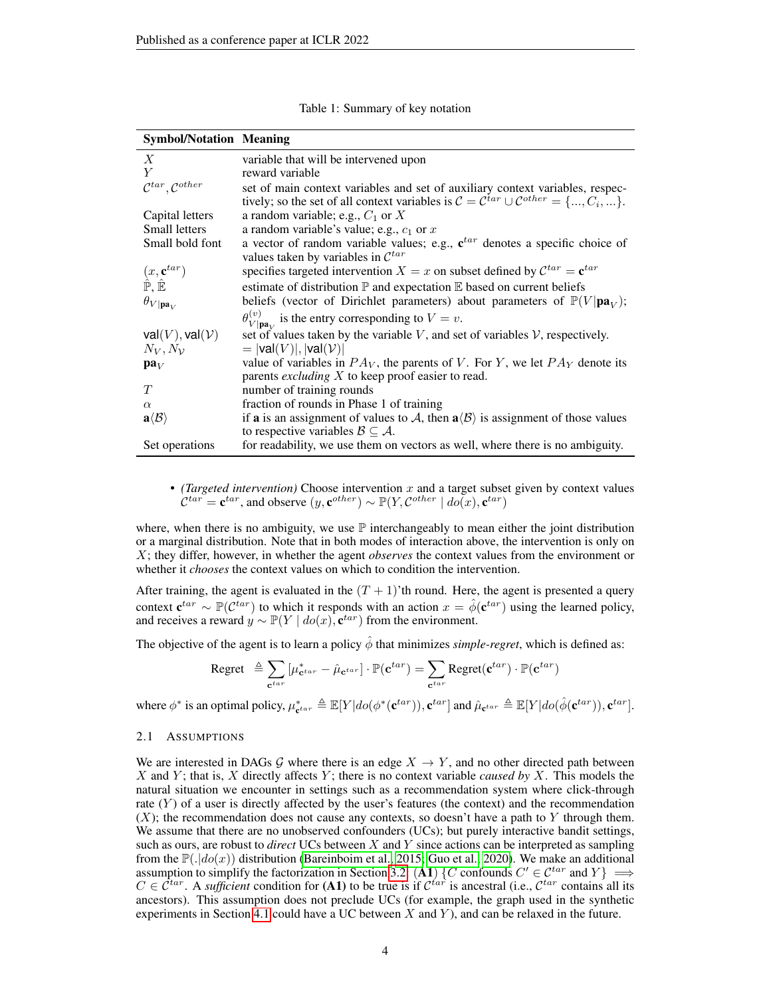<span id="page-3-1"></span>

| <b>Symbol/Notation Meaning</b>                                  |                                                                                                                                               |
|-----------------------------------------------------------------|-----------------------------------------------------------------------------------------------------------------------------------------------|
| X                                                               | variable that will be intervened upon                                                                                                         |
| Y                                                               | reward variable                                                                                                                               |
| $\mathcal{C}^{tar}, \mathcal{C}^{other}$                        | set of main context variables and set of auxiliary context variables, respec-                                                                 |
|                                                                 | tively; so the set of all context variables is $C = C^{tar} \cup C^{other} = \{, C_i, \}$ .                                                   |
| Capital letters                                                 | a random variable; e.g., $C_1$ or X                                                                                                           |
| Small letters                                                   | a random variable's value; e.g., $c_1$ or x                                                                                                   |
| Small bold font                                                 | a vector of random variable values; e.g., $\mathbf{c}^{tar}$ denotes a specific choice of<br>values taken by variables in $\mathcal{C}^{tar}$ |
| $(x, \mathbf{c}^{tar})$<br>$\hat{\mathbb{P}}, \hat{\mathbb{E}}$ | specifies targeted intervention $X = x$ on subset defined by $\mathcal{C}^{tar} = \mathbf{c}^{tar}$                                           |
|                                                                 | estimate of distribution $\mathbb P$ and expectation $\mathbb E$ based on current beliefs                                                     |
| $\theta_{V \mathbf{pa}_V}$                                      | beliefs (vector of Dirichlet parameters) about parameters of $\mathbb{P}(V \textbf{pa}_V)$ ;                                                  |
|                                                                 | $\theta_{V {\bf pa}_{V}}^{(v)}$ is the entry corresponding to $V = v$ .                                                                       |
| $val(V)$ , val $(V)$                                            | set of values taken by the variable $V$ , and set of variables $V$ , respectively.                                                            |
| $N_V, N_V$                                                      | $=$ $ val(V) ,  val(V) $                                                                                                                      |
| $pa_V$                                                          | value of variables in $PA_V$ , the parents of V. For Y, we let $PA_V$ denote its                                                              |
|                                                                 | parents <i>excluding</i> $X$ to keep proof easier to read.                                                                                    |
| T                                                               | number of training rounds                                                                                                                     |
| $\alpha$                                                        | fraction of rounds in Phase 1 of training                                                                                                     |
| $\mathbf{a} \langle \mathcal{B} \rangle$                        | if <b>a</b> is an assignment of values to A, then $a\langle B \rangle$ is assignment of those values                                          |
|                                                                 | to respective variables $\mathcal{B} \subseteq \mathcal{A}$ .                                                                                 |
| Set operations                                                  | for readability, we use them on vectors as well, where there is no ambiguity.                                                                 |

|  | Table 1: Summary of key notation |  |
|--|----------------------------------|--|
|  |                                  |  |

• *(Targeted intervention)* Choose intervention x and a target subset given by context values  $\mathcal{C}^{tar} = \mathbf{c}^{tar}$ , and observe  $(y, \mathbf{c}^{other}) \sim \mathbb{P}(Y, \mathcal{C}^{other} \mid do(x), \mathbf{c}^{tar})$ 

where, when there is no ambiguity, we use  $\mathbb P$  interchangeably to mean either the joint distribution or a marginal distribution. Note that in both modes of interaction above, the intervention is only on X; they differ, however, in whether the agent *observes* the context values from the environment or whether it *chooses* the context values on which to condition the intervention.

After training, the agent is evaluated in the  $(T + 1)$ 'th round. Here, the agent is presented a query context  $\mathbf{c}^{tar} \sim \mathbb{P}(\mathcal{C}^{tar})$  to which it responds with an action  $x = \hat{\phi}(\mathbf{c}^{tar})$  using the learned policy, and receives a reward  $y \sim \mathbb{P}(Y \mid do(x), \mathbf{c}^{tar})$  from the environment.

The objective of the agent is to learn a policy  $\phi$  that minimizes *simple-regret*, which is defined as:

$$
\text{Regret } \triangleq \sum_{\mathbf{c}^{tar}} \left[ \mu_{\mathbf{c}^{tar}}^* - \hat{\mu}_{\mathbf{c}^{tar}} \right] \cdot \mathbb{P}(\mathbf{c}^{tar}) = \sum_{\mathbf{c}^{tar}} \text{Regret}(\mathbf{c}^{tar}) \cdot \mathbb{P}(\mathbf{c}^{tar})
$$

where  $\phi^*$  is an optimal policy,  $\mu_{\mathbf{c}^{tar}}^* \triangleq \mathbb{E}[Y|do(\phi^*(\mathbf{c}^{tar})), \mathbf{c}^{tar}]$  and  $\hat{\mu}_{\mathbf{c}^{tar}} \triangleq \mathbb{E}[Y|do(\hat{\phi}(\mathbf{c}^{tar})), \mathbf{c}^{tar}]$ .

#### <span id="page-3-0"></span>2.1 ASSUMPTIONS

We are interested in DAGs G where there is an edge  $X \to Y$ , and no other directed path between X and Y ; that is, X directly affects Y ; there is no context variable *caused by* X. This models the natural situation we encounter in settings such as a recommendation system where click-through rate  $(Y)$  of a user is directly affected by the user's features (the context) and the recommendation  $(X)$ ; the recommendation does not cause any contexts, so doesn't have a path to Y through them. We assume that there are no unobserved confounders (UCs); but purely interactive bandit settings, such as ours, are robust to *direct* UCs between X and Y since actions can be interpreted as sampling from the  $\mathbb{P}(|do(x)|)$  distribution [\(Bareinboim et al., 2015;](#page-10-10) [Guo et al., 2020\)](#page-10-11). We make an additional assumption to simplify the factorization in Section [3.2:](#page-5-0) (A1) {C confounds  $C' \in \mathcal{C}^{tar}$  and  $Y$ }  $\implies$  $C \in \hat{\mathcal{C}}^{tar}$ . A *sufficient* condition for (A1) to be true is if  $\mathcal{C}^{tar}$  is ancestral (i.e.,  $\mathcal{C}^{tar}$  contains all its ancestors). This assumption does not preclude UCs (for example, the graph used in the synthetic experiments in Section [4.1](#page-7-0) could have a UC between  $X$  and  $Y$ ), and can be relaxed in the future.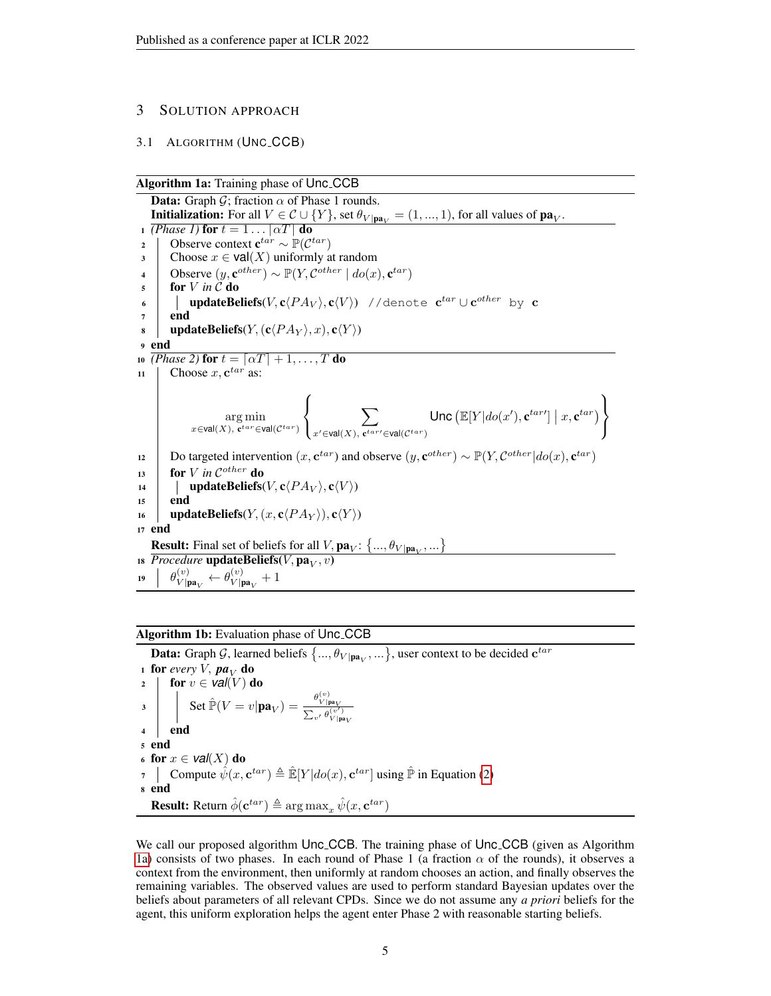# 3 SOLUTION APPROACH

#### <span id="page-4-0"></span>3.1 ALGORITHM (UNC CCB)

Algorithm 1a: Training phase of Unc<sub>-CCB</sub>

<span id="page-4-1"></span>**Data:** Graph  $\mathcal{G}$ ; fraction  $\alpha$  of Phase 1 rounds. **Initialization:** For all  $V \in \mathcal{C} \cup \{Y\}$ , set  $\theta_{V | \mathbf{pa}_V} = (1, ..., 1)$ , for all values of  $\mathbf{pa}_V$ . 1 *(Phase 1)* for  $t = 1 \dots \lceil \alpha T \rceil$  do 2 | Observe context  $\mathbf{c}^{tar} \sim \mathbb{P}(\mathcal{C}^{tar})$ 3 Choose  $x \in \text{val}(X)$  uniformly at random 4 Observe  $(y, \mathbf{c}^{other}) \sim \mathbb{P}(Y, \mathcal{C}^{other} | do(x), \mathbf{c}^{tar})$  $5 \quad \text{for } V \text{ in } C \text{ do}$  $\begin{array}{c} \leftarrow \end{array}$  updateBeliefs(V,c $\langle PA_{V}\rangle$ ,c $\langle V\rangle)$  //denote  $\mathbf{c}^{tar}\cup\mathbf{c}^{other}$  by  $\mathbf{c}$  $7$  end  $\mathbf{s}$  | updateBeliefs(Y,  $(\mathbf{c} \langle PA_Y \rangle, x), \mathbf{c} \langle Y \rangle$ ) <sup>9</sup> end 10 *(Phase 2)* for  $t = \lfloor \alpha T \rfloor + 1, \ldots, T$  do 11 Choose  $x, \mathbf{c}^{tar}$  as: arg min  $x \in$ val $(X)$ , c<sup>tar</sup>∈val $(\mathcal{C}^{tar})$  $\sqrt{ }$ J  $\mathcal{L}$  $\sum$  $x' \in$ val $(X)$ , c<sup>tar</sup>′∈val $(\mathcal{C}^{tar})$ Unc  $(\mathbb{E}[Y|do(x'), \mathbf{c}^{tar\prime}] | x, \mathbf{c}^{tar})$  $\mathcal{L}$  $\mathcal{L}$ J 12 Do targeted intervention  $(x, \mathbf{c}^{tar})$  and observe  $(y, \mathbf{c}^{other}) \sim \mathbb{P}(Y, \mathcal{C}^{other} | do(x), \mathbf{c}^{tar})$  $13$  for *V* in C<sup>other</sup> do 14 | updateBeliefs( $V$ ,  $\mathbf{c} \langle PA_V \rangle$ ,  $\mathbf{c} \langle V \rangle$ ) <sup>15</sup> end 16 | updateBeliefs $(Y,(x,\mathbf{c}\langle PA_Y \rangle),\mathbf{c}\langle Y \rangle)$ <sup>17</sup> end **Result:** Final set of beliefs for all  $V$ ,  $\mathbf{pa}_V$ :  $\{\ldots, \theta_{V | \mathbf{pa}_V}, \ldots\}$ 18 *Procedure* **updateBeliefs** $(V, \textbf{pa}_V, v)$ 19  $\begin{bmatrix} \theta_{V}^{(v)} \end{bmatrix}$  $\frac{(v)}{V|{\mathbf{pa}}_V} \leftarrow \theta_{V|{\mathbf{p}}}^{(v)}$  $\frac{v}{V|{\bf pa}_V} + 1$ 

# Algorithm 1b: Evaluation phase of Unc\_CCB

<span id="page-4-2"></span>**Data:** Graph G, learned beliefs  $\{\ldots,\theta_{V|\mathbf{pa}_V},\ldots\}$ , user context to be decided  $\mathbf{c}^{tar}$ 1 for *every V*,  $pa_V$  do<br>2 for  $v \in val(V)$  d for  $v \in \mathcal{V}al(V)$  do  $3 \begin{array}{c} \begin{array}{c} \end{array} \end{array}$  Set  $\mathbb{\hat{P}}(V=v|\mathbf{pa}_V)=\frac{\theta_{V|\mathbf{b}|}^{(v)}}{\sum_{V|\mathbf{b}|} \theta_{V|\mathbf{b}|}^{(v)}}$ P  $V$  | pa $V$  $\frac{v'}{v'} \frac{\theta(v')}{V|\text{pa}_V}$ <sup>4</sup> end <sup>5</sup> end 6 for  $x \in \textit{val}(X)$  do 7 Compute  $\hat{\psi}(x, \mathbf{c}^{tar}) \triangleq \hat{\mathbb{E}}[Y|do(x), \mathbf{c}^{tar}]$  using  $\hat{\mathbb{P}}$  in Equation [\(2\)](#page-6-0) <sup>8</sup> end **Result:** Return  $\hat{\phi}(\mathbf{c}^{tar}) \triangleq \arg \max_{x} \hat{\psi}(x, \mathbf{c}^{tar})$ 

We call our proposed algorithm Unc CCB. The training phase of Unc CCB (given as Algorithm [1a\)](#page-4-1) consists of two phases. In each round of Phase 1 (a fraction  $\alpha$  of the rounds), it observes a context from the environment, then uniformly at random chooses an action, and finally observes the remaining variables. The observed values are used to perform standard Bayesian updates over the beliefs about parameters of all relevant CPDs. Since we do not assume any *a priori* beliefs for the agent, this uniform exploration helps the agent enter Phase 2 with reasonable starting beliefs.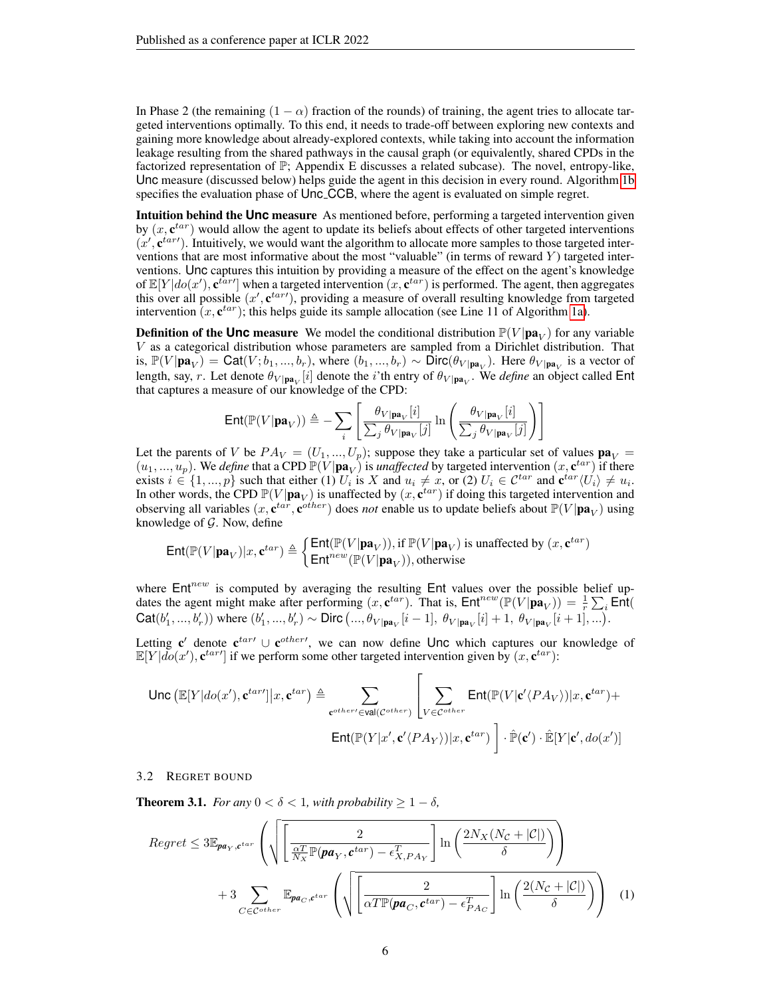In Phase 2 (the remaining  $(1 - \alpha)$  fraction of the rounds) of training, the agent tries to allocate targeted interventions optimally. To this end, it needs to trade-off between exploring new contexts and gaining more knowledge about already-explored contexts, while taking into account the information leakage resulting from the shared pathways in the causal graph (or equivalently, shared CPDs in the factorized representation of  $\mathbb{P}$ ; Appendix E discusses a related subcase). The novel, entropy-like, Unc measure (discussed below) helps guide the agent in this decision in every round. Algorithm [1b](#page-4-2) specifies the evaluation phase of Unc<sub>-CCB</sub>, where the agent is evaluated on simple regret.

Intuition behind the **Unc** measure As mentioned before, performing a targeted intervention given by  $(x, e^{tar})$  would allow the agent to update its beliefs about effects of other targeted interventions  $(x', e^{tar})$ . Intuitively, we would want the algorithm to allocate more samples to those targeted interventions that are most informative about the most "valuable" (in terms of reward  $Y$ ) targeted interventions. Unc captures this intuition by providing a measure of the effect on the agent's knowledge of  $\mathbb{E}[Y|do(x'), \mathbf{c}^{tar'}]$  when a targeted intervention  $(x, \mathbf{c}^{tar})$  is performed. The agent, then aggregates this over all possible  $(x', \mathbf{c}^{tar})$ , providing a measure of overall resulting knowledge from targeted intervention  $(x, e^{tar})$ ; this helps guide its sample allocation (see Line 11 of Algorithm [1a\)](#page-4-1).

**Definition of the Unc measure** We model the conditional distribution  $\mathbb{P}(V|\mathbf{pa}_V)$  for any variable V as a categorical distribution whose parameters are sampled from a Dirichlet distribution. That is,  $\mathbb{P}(V|\mathbf{pa}_V) = \text{Cat}(V; b_1, ..., b_r)$ , where  $(b_1, ..., b_r) \sim \text{Dirc}(\theta_{V|\mathbf{pa}_V})$ . Here  $\theta_{V|\mathbf{pa}_V}$  is a vector of length, say, r. Let denote  $\theta_{V|{\bf p a}_V}[i]$  denote the *i*'th entry of  $\theta_{V|{\bf p a}_V}$ . We *define* an object called Ent that captures a measure of our knowledge of the CPD:

$$
\text{Ent}(\mathbb{P}(V|\mathbf{pa}_V)) \triangleq -\sum_{i} \left[ \frac{\theta_{V|\mathbf{pa}_V}[i]}{\sum_{j} \theta_{V|\mathbf{pa}_V}[j]} \ln \left( \frac{\theta_{V|\mathbf{pa}_V}[i]}{\sum_{j} \theta_{V|\mathbf{pa}_V}[j]} \right) \right]
$$

Let the parents of V be  $PA_V = (U_1, ..., U_p)$ ; suppose they take a particular set of values  $pa_V =$  $(u_1, ..., u_p)$ . We *define* that a CPD  $\mathbb{P}(V|\mathbf{pa}_V)$  is *unaffected* by targeted intervention  $(x, \mathbf{c}^{tar})$  if there exists  $i \in \{1, ..., p\}$  such that either (1)  $U_i$  is X and  $u_i \neq x$ , or (2)  $U_i \in \mathcal{C}^{tar}$  and  $\mathbf{c}^{tar}\langle U_i \rangle \neq u_i$ . In other words, the CPD  $\mathbb{P}(V|\mathbf{pa}_V)$  is unaffected by  $(x, \mathbf{c}^{tar})$  if doing this targeted intervention and observing all variables  $(x, \mathbf{c}^{tar}, \mathbf{c}^{other})$  does *not* enable us to update beliefs about  $\mathbb{P}(V|\mathbf{pa}_V)$  using knowledge of  $G$ . Now, define

$$
\mathsf{Ent}(\mathbb{P}(V|\mathbf{pa}_V)|x,\mathbf{c}^{tar})\triangleq\begin{cases} \mathsf{Ent}(\mathbb{P}(V|\mathbf{pa}_V)), \text{if }\mathbb{P}(V|\mathbf{pa}_V) \text{ is unaffected by }(x,\mathbf{c}^{tar})\\ \mathsf{Ent}^{new}(\mathbb{P}(V|\mathbf{pa}_V)), \text{otherwise}\end{cases}
$$

where  $Ent^{new}$  is computed by averaging the resulting Ent values over the possible belief updates the agent might make after performing  $(x, \mathbf{c}^{tar})$ . That is,  $Ent^{new}(\mathbb{P}(V|\mathbf{pa}_V)) = \frac{1}{r} \sum_i \text{Ent}(V(\mathbf{pa}_V))$  $\mathsf{Cat}(b'_1, ..., b'_r)$  where  $(b'_1, ..., b'_r) \sim \mathsf{Dirc}\, (..., \theta_{V | \mathbf{pa}_V}[i-1], \theta_{V | \mathbf{pa}_V}[i] + 1, \theta_{V | \mathbf{pa}_V}[i+1], ...).$ 

Letting  $c'$  denote  $c^{tar}$   $\cup$   $c^{other}$ , we can now define Unc which captures our knowledge of  $\mathbb{E}[Y|\overline{do}(x'), \mathbf{c}^{tar'}]$  if we perform some other targeted intervention given by  $(x, \mathbf{c}^{tar})$ :

Unc

\n
$$
\text{Unc}(\mathbb{E}[Y|do(x'), \mathbf{c}^{tar'}]|x, \mathbf{c}^{tar}) \triangleq \sum_{\mathbf{c}^{other'} \in \text{val}(\mathcal{C}^{other})} \left[ \sum_{V \in \mathcal{C}^{other}} \text{Ent}(\mathbb{P}(V|\mathbf{c}' \langle PA_V \rangle)|x, \mathbf{c}^{tar}) + \text{Ent}(\mathbb{P}(Y|x', \mathbf{c}' \langle PA_V \rangle)|x, \mathbf{c}^{tar}) \right] \cdot \hat{\mathbb{P}}(\mathbf{c}') \cdot \hat{\mathbb{E}}[Y|\mathbf{c}', do(x')]
$$

#### <span id="page-5-0"></span>3.2 REGRET BOUND

<span id="page-5-1"></span>**Theorem 3.1.** *For any*  $0 < \delta < 1$ *, with probability*  $\geq 1 - \delta$ *,* 

<span id="page-5-2"></span>
$$
Regret \leq 3\mathbb{E}_{\mathbf{pa}_Y, \mathbf{c}^{tar}} \left( \sqrt{\left[ \frac{2}{\frac{\alpha T}{N_X} \mathbb{P}(\mathbf{pa}_Y, \mathbf{c}^{tar}) - \epsilon_{X, PA_Y}^T} \right] \ln \left( \frac{2N_X(N_C + |C|)}{\delta} \right)} \right) + 3 \sum_{C \in \mathcal{C}^{other}} \mathbb{E}_{\mathbf{pa}_C, \mathbf{c}^{tar}} \left( \sqrt{\left[ \frac{2}{\alpha T \mathbb{P}(\mathbf{pa}_C, \mathbf{c}^{tar}) - \epsilon_{PA_C}^T} \right] \ln \left( \frac{2(N_C + |C|)}{\delta} \right)} \right) \tag{1}
$$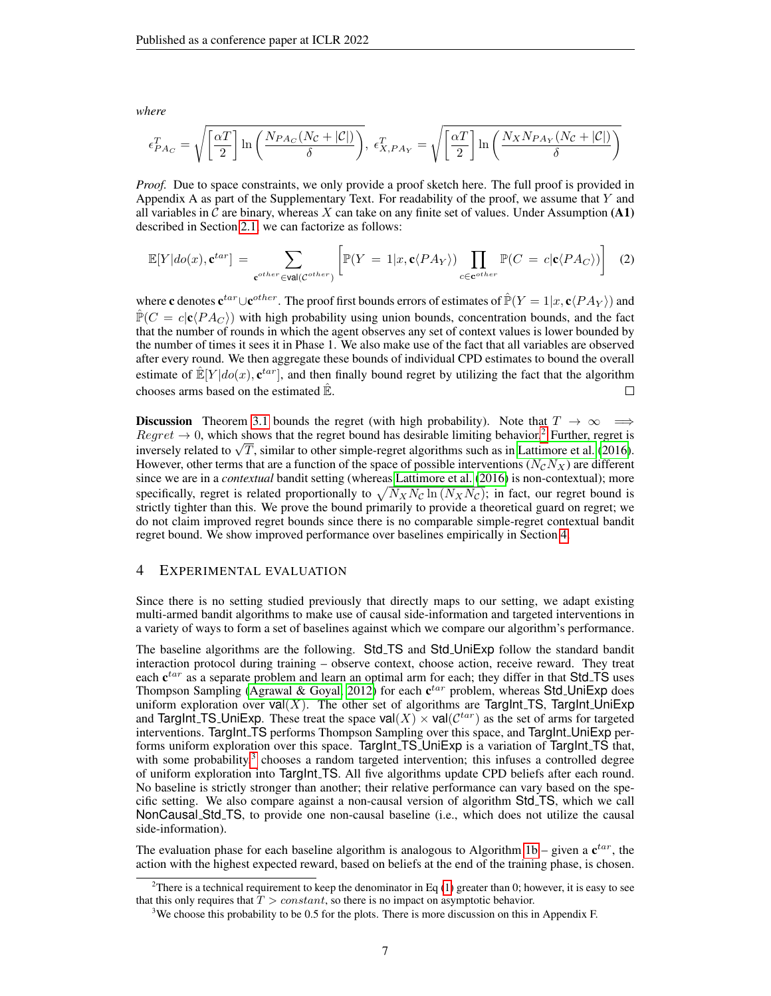*where*

$$
\epsilon_{PA_C}^T = \sqrt{\left[\frac{\alpha T}{2}\right] \ln\left(\frac{N_{PA_C}(N_{\mathcal{C}} + |\mathcal{C}|)}{\delta}\right)}, \ \epsilon_{X,PA_Y}^T = \sqrt{\left[\frac{\alpha T}{2}\right] \ln\left(\frac{N_{X}N_{PA_Y}(N_{\mathcal{C}} + |\mathcal{C}|)}{\delta}\right)}
$$

*Proof.* Due to space constraints, we only provide a proof sketch here. The full proof is provided in Appendix A as part of the Supplementary Text. For readability of the proof, we assume that  $Y$  and all variables in C are binary, whereas X can take on any finite set of values. Under Assumption (A1) described in Section [2.1,](#page-3-0) we can factorize as follows:

<span id="page-6-0"></span>
$$
\mathbb{E}[Y|do(x), \mathbf{c}^{tar}] = \sum_{\mathbf{c}^{other} \in \text{val}(C^{other})} \left[ \mathbb{P}(Y = 1|x, \mathbf{c}\langle PA_Y\rangle) \prod_{c \in \mathbf{c}^{other}} \mathbb{P}(C = c|\mathbf{c}\langle PA_C\rangle) \right]
$$
(2)

where  ${\bf c}$  denotes  ${\bf c}^{tar}\cup{\bf c}^{other}$  . The proof first bounds errors of estimates of  $\hat{\mathbb{P}}(Y=1|x,{\bf c}\langle PA_Y\rangle)$  and  $\mathbb{P}(C = c|\mathbf{c}(PA_C)$  with high probability using union bounds, concentration bounds, and the fact that the number of rounds in which the agent observes any set of context values is lower bounded by the number of times it sees it in Phase 1. We also make use of the fact that all variables are observed after every round. We then aggregate these bounds of individual CPD estimates to bound the overall estimate of  $\mathbb{E}[Y|do(x), \mathbf{c}^{tar}]$ , and then finally bound regret by utilizing the fact that the algorithm chooses arms based on the estimated  $\mathbb{E}$ .  $\Box$ 

**Discussion** Theorem [3.1](#page-5-1) bounds the regret (with high probability). Note that  $T \to \infty$   $\implies$  $Regret \rightarrow 0$ , which shows that the regret bound has desirable limiting behavior.<sup>[2](#page-6-1)</sup> Further, regret is  $negret \rightarrow 0$ , which shows that the regret bound has desirable limiting behavior. Further, regret is inversely related to  $\sqrt{T}$ , similar to other simple-regret algorithms such as in [Lattimore et al.](#page-10-5) [\(2016\)](#page-10-5). However, other terms that are a function of the space of possible interventions  $(N_cN_X)$  are different since we are in a *contextual* bandit setting (whereas [Lattimore et al.](#page-10-5) [\(2016\)](#page-10-5) is non-contextual); more specifically, regret is related proportionally to  $\sqrt{N_XN_C \ln(N_XN_C)}$ ; in fact, our regret bound is strictly tighter than this. We prove the bound primarily to provide a theoretical guard on regret; we do not claim improved regret bounds since there is no comparable simple-regret contextual bandit regret bound. We show improved performance over baselines empirically in Section [4.](#page-6-2)

#### <span id="page-6-2"></span>4 EXPERIMENTAL EVALUATION

Since there is no setting studied previously that directly maps to our setting, we adapt existing multi-armed bandit algorithms to make use of causal side-information and targeted interventions in a variety of ways to form a set of baselines against which we compare our algorithm's performance.

The baseline algorithms are the following. Std\_TS and Std\_UniExp follow the standard bandit interaction protocol during training – observe context, choose action, receive reward. They treat each  $\mathbf{c}^{tar}$  as a separate problem and learn an optimal arm for each; they differ in that Std<sub>-TS</sub> uses Thompson Sampling [\(Agrawal & Goyal, 2012\)](#page-10-12) for each  $c^{tar}$  problem, whereas Std\_UniExp does uniform exploration over  $val(X)$ . The other set of algorithms are TargInt\_TS, TargInt\_UniExp and TargInt\_TS\_UniExp. These treat the space  $val(X) \times val(\mathcal{C}^{tar})$  as the set of arms for targeted interventions. TargInt\_TS performs Thompson Sampling over this space, and TargInt\_UniExp performs uniform exploration over this space. TargInt\_TS\_UniExp is a variation of TargInt\_TS that, with some probability,<sup>[3](#page-6-3)</sup> chooses a random targeted intervention; this infuses a controlled degree of uniform exploration into TargInt TS. All five algorithms update CPD beliefs after each round. No baseline is strictly stronger than another; their relative performance can vary based on the specific setting. We also compare against a non-causal version of algorithm Std\_TS, which we call NonCausal Std TS, to provide one non-causal baseline (i.e., which does not utilize the causal side-information).

The evaluation phase for each baseline algorithm is analogous to Algorithm [1b](#page-4-2) – given a  $\mathbf{c}^{tar}$ , the action with the highest expected reward, based on beliefs at the end of the training phase, is chosen.

<span id="page-6-1"></span><sup>&</sup>lt;sup>2</sup>There is a technical requirement to keep the denominator in Eq [\(1\)](#page-5-2) greater than 0; however, it is easy to see that this only requires that  $\hat{T} > constant$ , so there is no impact on asymptotic behavior.

<span id="page-6-3"></span><sup>&</sup>lt;sup>3</sup>We choose this probability to be 0.5 for the plots. There is more discussion on this in Appendix F.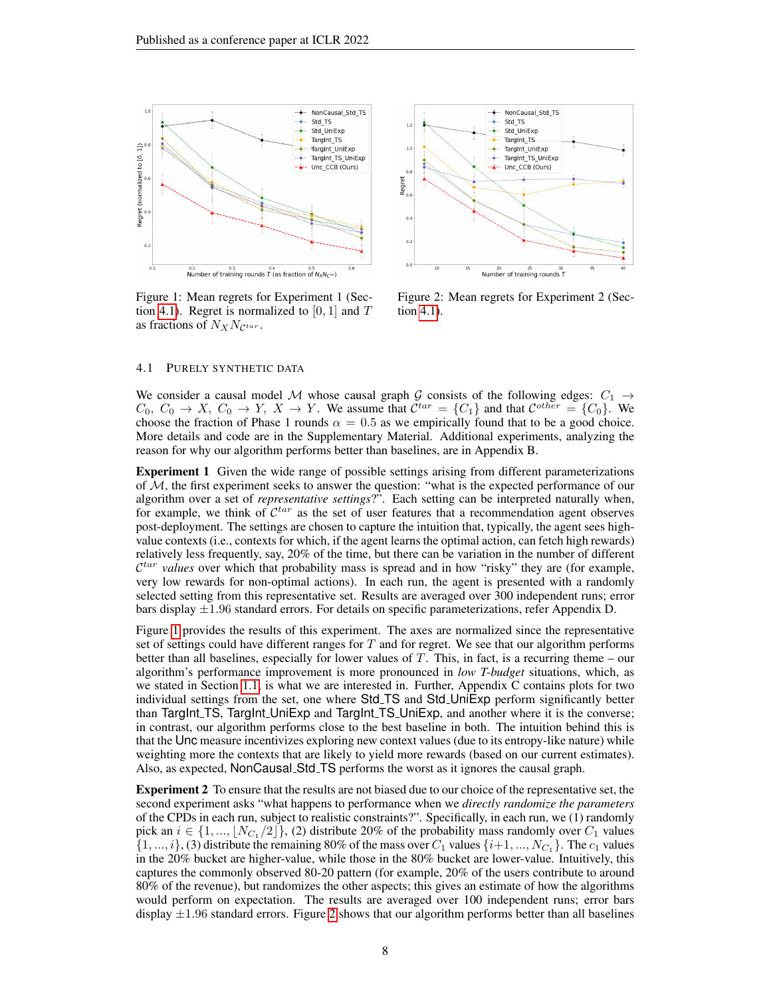<span id="page-7-1"></span>

Figure 1: Mean regrets for Experiment 1 (Sec-tion [4.1\)](#page-7-0). Regret is normalized to [0, 1] and  $T$ as fractions of  $N_XN_{\mathcal{C}^{tar}}$ .



Figure 2: Mean regrets for Experiment 2 (Section [4.1\)](#page-7-0).

#### <span id="page-7-0"></span>4.1 PURELY SYNTHETIC DATA

We consider a causal model M whose causal graph G consists of the following edges:  $C_1 \rightarrow$  $C_0, C_0 \to X, C_0 \to Y, X \to Y$ . We assume that  $\mathcal{C}^{tar} = \{C_1\}$  and that  $\mathcal{C}^{other} = \{C_0\}$ . We choose the fraction of Phase 1 rounds  $\alpha = 0.5$  as we empirically found that to be a good choice. More details and code are in the Supplementary Material. Additional experiments, analyzing the reason for why our algorithm performs better than baselines, are in Appendix B.

Experiment 1 Given the wide range of possible settings arising from different parameterizations of  $M$ , the first experiment seeks to answer the question: "what is the expected performance of our algorithm over a set of *representative settings*?". Each setting can be interpreted naturally when, for example, we think of  $\mathcal{C}^{tar}$  as the set of user features that a recommendation agent observes post-deployment. The settings are chosen to capture the intuition that, typically, the agent sees highvalue contexts (i.e., contexts for which, if the agent learns the optimal action, can fetch high rewards) relatively less frequently, say, 20% of the time, but there can be variation in the number of different  $\mathcal{C}^{tar}$  *values* over which that probability mass is spread and in how "risky" they are (for example, very low rewards for non-optimal actions). In each run, the agent is presented with a randomly selected setting from this representative set. Results are averaged over 300 independent runs; error bars display  $\pm 1.96$  standard errors. For details on specific parameterizations, refer Appendix D.

Figure [1](#page-7-1) provides the results of this experiment. The axes are normalized since the representative set of settings could have different ranges for  $T$  and for regret. We see that our algorithm performs better than all baselines, especially for lower values of  $T$ . This, in fact, is a recurring theme – our algorithm's performance improvement is more pronounced in *low T-budget* situations, which, as we stated in Section [1.1,](#page-1-0) is what we are interested in. Further, Appendix C contains plots for two individual settings from the set, one where Std<sub>-</sub>TS and Std<sub>-</sub>UniExp perform significantly better than TargInt TS, TargInt UniExp and TargInt TS UniExp, and another where it is the converse; in contrast, our algorithm performs close to the best baseline in both. The intuition behind this is that the Unc measure incentivizes exploring new context values (due to its entropy-like nature) while weighting more the contexts that are likely to yield more rewards (based on our current estimates). Also, as expected, NonCausal Std TS performs the worst as it ignores the causal graph.

Experiment 2 To ensure that the results are not biased due to our choice of the representative set, the second experiment asks "what happens to performance when we *directly randomize the parameters* of the CPDs in each run, subject to realistic constraints?". Specifically, in each run, we (1) randomly pick an  $i \in \{1, ..., \lfloor N_{C_1}/2 \rfloor\}$ , (2) distribute 20% of the probability mass randomly over  $C_1$  values  $\{1, ..., i\}$ , (3) distribute the remaining 80% of the mass over  $C_1$  values  $\{i+1, ..., N_{C_1}\}$ . The  $c_1$  values in the 20% bucket are higher-value, while those in the 80% bucket are lower-value. Intuitively, this captures the commonly observed 80-20 pattern (for example, 20% of the users contribute to around 80% of the revenue), but randomizes the other aspects; this gives an estimate of how the algorithms would perform on expectation. The results are averaged over 100 independent runs; error bars display  $\pm 1.96$  standard errors. Figure [2](#page-7-1) shows that our algorithm performs better than all baselines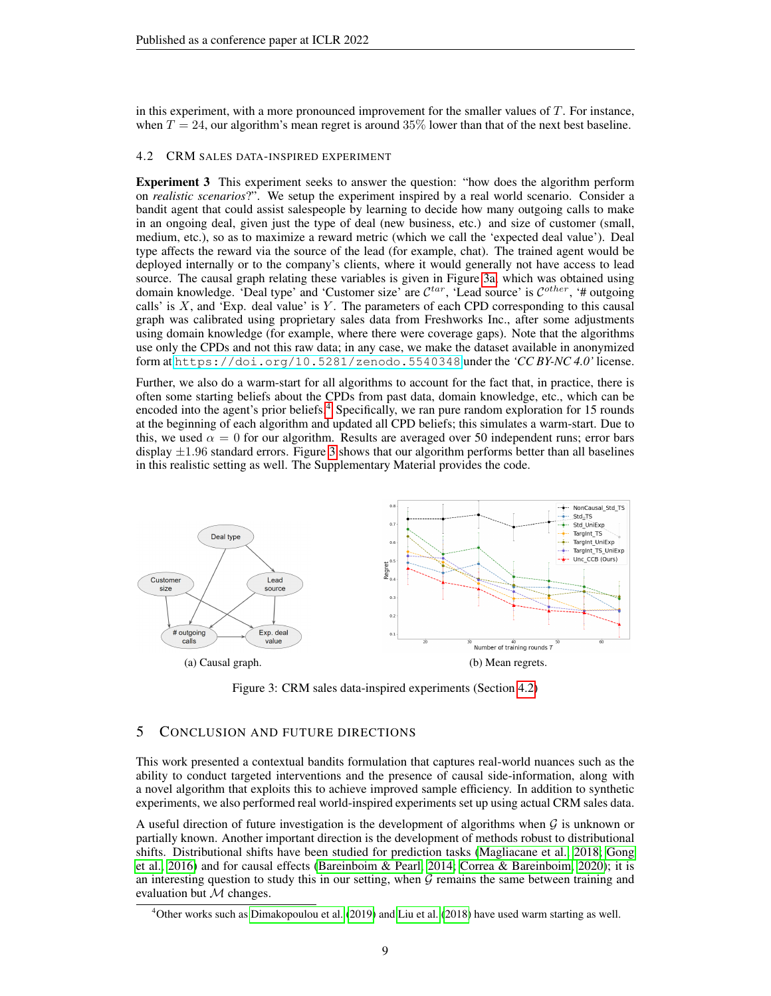in this experiment, with a more pronounced improvement for the smaller values of T. For instance, when  $T = 24$ , our algorithm's mean regret is around 35% lower than that of the next best baseline.

#### <span id="page-8-0"></span>4.2 CRM SALES DATA-INSPIRED EXPERIMENT

Experiment 3 This experiment seeks to answer the question: "how does the algorithm perform on *realistic scenarios*?". We setup the experiment inspired by a real world scenario. Consider a bandit agent that could assist salespeople by learning to decide how many outgoing calls to make in an ongoing deal, given just the type of deal (new business, etc.) and size of customer (small, medium, etc.), so as to maximize a reward metric (which we call the 'expected deal value'). Deal type affects the reward via the source of the lead (for example, chat). The trained agent would be deployed internally or to the company's clients, where it would generally not have access to lead source. The causal graph relating these variables is given in Figure [3a,](#page-8-1) which was obtained using domain knowledge. 'Deal type' and 'Customer size' are  $\mathcal{C}^{tar}$ , 'Lead source' is  $\mathcal{C}^{other}$ , '# outgoing calls' is  $X$ , and 'Exp. deal value' is  $Y$ . The parameters of each CPD corresponding to this causal graph was calibrated using proprietary sales data from Freshworks Inc., after some adjustments using domain knowledge (for example, where there were coverage gaps). Note that the algorithms use only the CPDs and not this raw data; in any case, we make the dataset available in anonymized form at <https://doi.org/10.5281/zenodo.5540348> under the *'CC BY-NC 4.0'* license.

Further, we also do a warm-start for all algorithms to account for the fact that, in practice, there is often some starting beliefs about the CPDs from past data, domain knowledge, etc., which can be encoded into the agent's prior beliefs.[4](#page-8-2) Specifically, we ran pure random exploration for 15 rounds at the beginning of each algorithm and updated all CPD beliefs; this simulates a warm-start. Due to this, we used  $\alpha = 0$  for our algorithm. Results are averaged over 50 independent runs; error bars display  $\pm 1.96$  standard errors. Figure [3](#page-8-3) shows that our algorithm performs better than all baselines in this realistic setting as well. The Supplementary Material provides the code.

<span id="page-8-3"></span><span id="page-8-1"></span>

Figure 3: CRM sales data-inspired experiments (Section [4.2\)](#page-8-0)

## 5 CONCLUSION AND FUTURE DIRECTIONS

This work presented a contextual bandits formulation that captures real-world nuances such as the ability to conduct targeted interventions and the presence of causal side-information, along with a novel algorithm that exploits this to achieve improved sample efficiency. In addition to synthetic experiments, we also performed real world-inspired experiments set up using actual CRM sales data.

A useful direction of future investigation is the development of algorithms when  $G$  is unknown or partially known. Another important direction is the development of methods robust to distributional shifts. Distributional shifts have been studied for prediction tasks [\(Magliacane et al., 2018;](#page-10-13) [Gong](#page-10-14) [et al., 2016\)](#page-10-14) and for causal effects [\(Bareinboim & Pearl, 2014;](#page-10-15) [Correa & Bareinboim, 2020\)](#page-10-16); it is an interesting question to study this in our setting, when  $G$  remains the same between training and evaluation but  $M$  changes.

<span id="page-8-2"></span><sup>4</sup>Other works such as [Dimakopoulou et al.](#page-10-6) [\(2019\)](#page-10-6) and [Liu et al.](#page-10-0) [\(2018\)](#page-10-0) have used warm starting as well.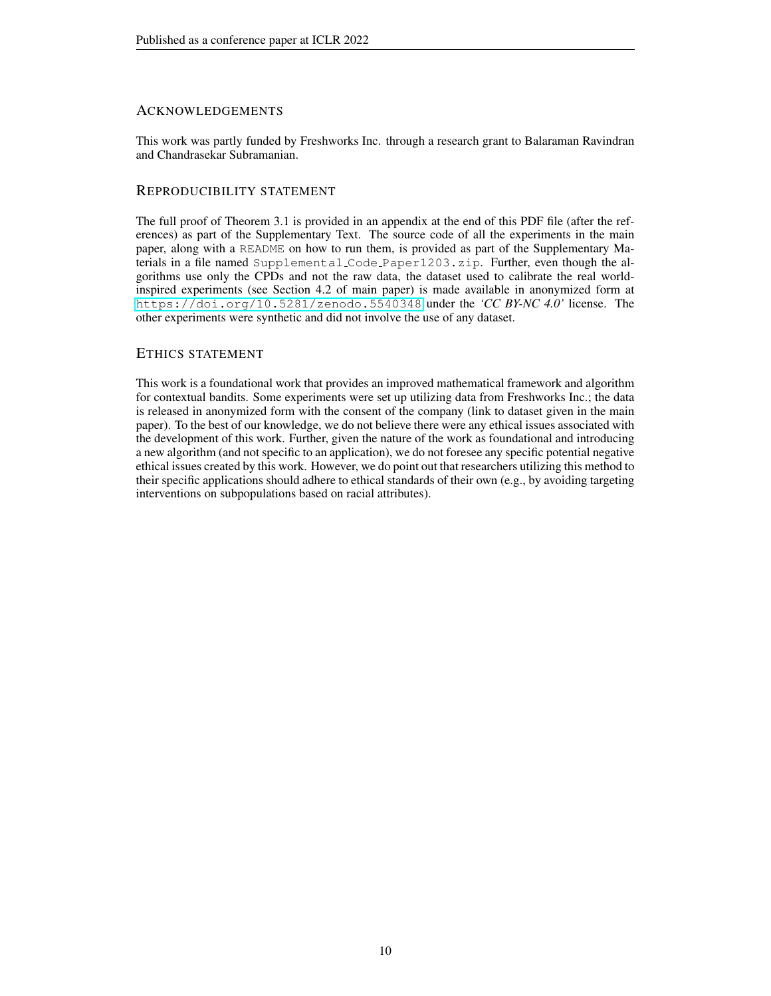## ACKNOWLEDGEMENTS

This work was partly funded by Freshworks Inc. through a research grant to Balaraman Ravindran and Chandrasekar Subramanian.

# REPRODUCIBILITY STATEMENT

The full proof of Theorem 3.1 is provided in an appendix at the end of this PDF file (after the references) as part of the Supplementary Text. The source code of all the experiments in the main paper, along with a README on how to run them, is provided as part of the Supplementary Materials in a file named Supplemental Code Paper1203.zip. Further, even though the algorithms use only the CPDs and not the raw data, the dataset used to calibrate the real worldinspired experiments (see Section 4.2 of main paper) is made available in anonymized form at <https://doi.org/10.5281/zenodo.5540348> under the *'CC BY-NC 4.0'* license. The other experiments were synthetic and did not involve the use of any dataset.

# ETHICS STATEMENT

This work is a foundational work that provides an improved mathematical framework and algorithm for contextual bandits. Some experiments were set up utilizing data from Freshworks Inc.; the data is released in anonymized form with the consent of the company (link to dataset given in the main paper). To the best of our knowledge, we do not believe there were any ethical issues associated with the development of this work. Further, given the nature of the work as foundational and introducing a new algorithm (and not specific to an application), we do not foresee any specific potential negative ethical issues created by this work. However, we do point out that researchers utilizing this method to their specific applications should adhere to ethical standards of their own (e.g., by avoiding targeting interventions on subpopulations based on racial attributes).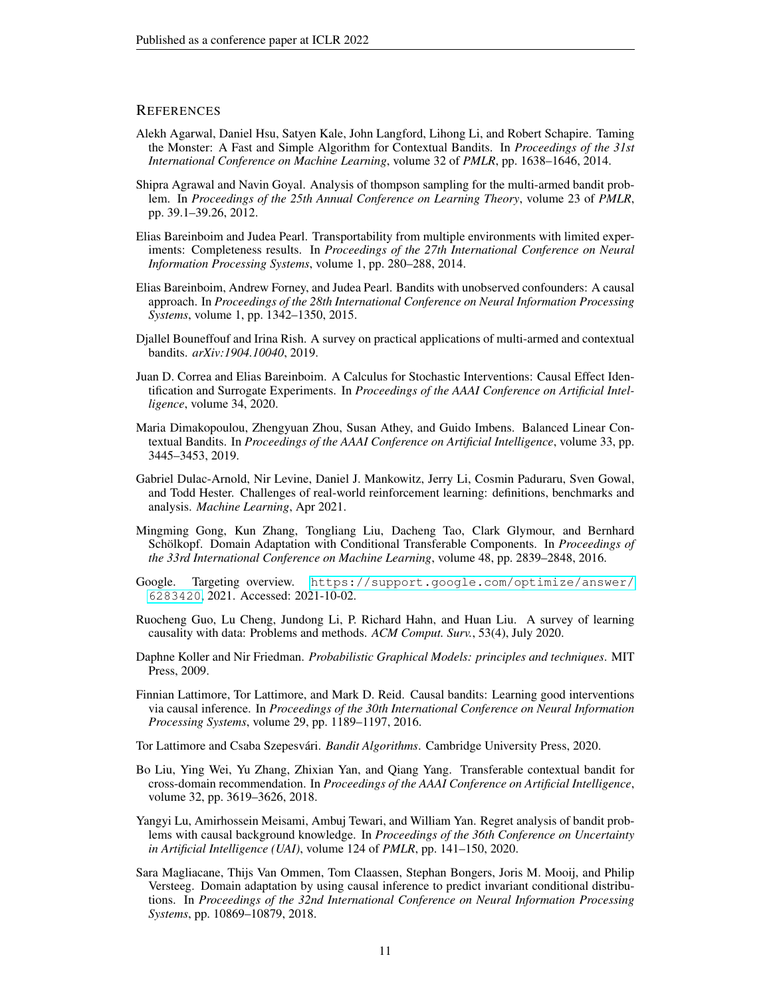#### **REFERENCES**

- <span id="page-10-8"></span>Alekh Agarwal, Daniel Hsu, Satyen Kale, John Langford, Lihong Li, and Robert Schapire. Taming the Monster: A Fast and Simple Algorithm for Contextual Bandits. In *Proceedings of the 31st International Conference on Machine Learning*, volume 32 of *PMLR*, pp. 1638–1646, 2014.
- <span id="page-10-12"></span>Shipra Agrawal and Navin Goyal. Analysis of thompson sampling for the multi-armed bandit problem. In *Proceedings of the 25th Annual Conference on Learning Theory*, volume 23 of *PMLR*, pp. 39.1–39.26, 2012.
- <span id="page-10-15"></span>Elias Bareinboim and Judea Pearl. Transportability from multiple environments with limited experiments: Completeness results. In *Proceedings of the 27th International Conference on Neural Information Processing Systems*, volume 1, pp. 280–288, 2014.
- <span id="page-10-10"></span>Elias Bareinboim, Andrew Forney, and Judea Pearl. Bandits with unobserved confounders: A causal approach. In *Proceedings of the 28th International Conference on Neural Information Processing Systems*, volume 1, pp. 1342–1350, 2015.
- <span id="page-10-1"></span>Djallel Bouneffouf and Irina Rish. A survey on practical applications of multi-armed and contextual bandits. *arXiv:1904.10040*, 2019.
- <span id="page-10-16"></span>Juan D. Correa and Elias Bareinboim. A Calculus for Stochastic Interventions: Causal Effect Identification and Surrogate Experiments. In *Proceedings of the AAAI Conference on Artificial Intelligence*, volume 34, 2020.
- <span id="page-10-6"></span>Maria Dimakopoulou, Zhengyuan Zhou, Susan Athey, and Guido Imbens. Balanced Linear Contextual Bandits. In *Proceedings of the AAAI Conference on Artificial Intelligence*, volume 33, pp. 3445–3453, 2019.
- <span id="page-10-3"></span>Gabriel Dulac-Arnold, Nir Levine, Daniel J. Mankowitz, Jerry Li, Cosmin Paduraru, Sven Gowal, and Todd Hester. Challenges of real-world reinforcement learning: definitions, benchmarks and analysis. *Machine Learning*, Apr 2021.
- <span id="page-10-14"></span>Mingming Gong, Kun Zhang, Tongliang Liu, Dacheng Tao, Clark Glymour, and Bernhard Schölkopf. Domain Adaptation with Conditional Transferable Components. In *Proceedings of the 33rd International Conference on Machine Learning*, volume 48, pp. 2839–2848, 2016.
- <span id="page-10-4"></span>Google. Targeting overview. [https://support.google.com/optimize/answer/](https://support.google.com/optimize/answer/6283420) [6283420](https://support.google.com/optimize/answer/6283420), 2021. Accessed: 2021-10-02.
- <span id="page-10-11"></span>Ruocheng Guo, Lu Cheng, Jundong Li, P. Richard Hahn, and Huan Liu. A survey of learning causality with data: Problems and methods. *ACM Comput. Surv.*, 53(4), July 2020.
- <span id="page-10-9"></span>Daphne Koller and Nir Friedman. *Probabilistic Graphical Models: principles and techniques*. MIT Press, 2009.
- <span id="page-10-5"></span>Finnian Lattimore, Tor Lattimore, and Mark D. Reid. Causal bandits: Learning good interventions via causal inference. In *Proceedings of the 30th International Conference on Neural Information Processing Systems*, volume 29, pp. 1189–1197, 2016.

<span id="page-10-2"></span>Tor Lattimore and Csaba Szepesvári. *Bandit Algorithms*. Cambridge University Press, 2020.

- <span id="page-10-0"></span>Bo Liu, Ying Wei, Yu Zhang, Zhixian Yan, and Qiang Yang. Transferable contextual bandit for cross-domain recommendation. In *Proceedings of the AAAI Conference on Artificial Intelligence*, volume 32, pp. 3619–3626, 2018.
- <span id="page-10-7"></span>Yangyi Lu, Amirhossein Meisami, Ambuj Tewari, and William Yan. Regret analysis of bandit problems with causal background knowledge. In *Proceedings of the 36th Conference on Uncertainty in Artificial Intelligence (UAI)*, volume 124 of *PMLR*, pp. 141–150, 2020.
- <span id="page-10-13"></span>Sara Magliacane, Thijs Van Ommen, Tom Claassen, Stephan Bongers, Joris M. Mooij, and Philip Versteeg. Domain adaptation by using causal inference to predict invariant conditional distributions. In *Proceedings of the 32nd International Conference on Neural Information Processing Systems*, pp. 10869–10879, 2018.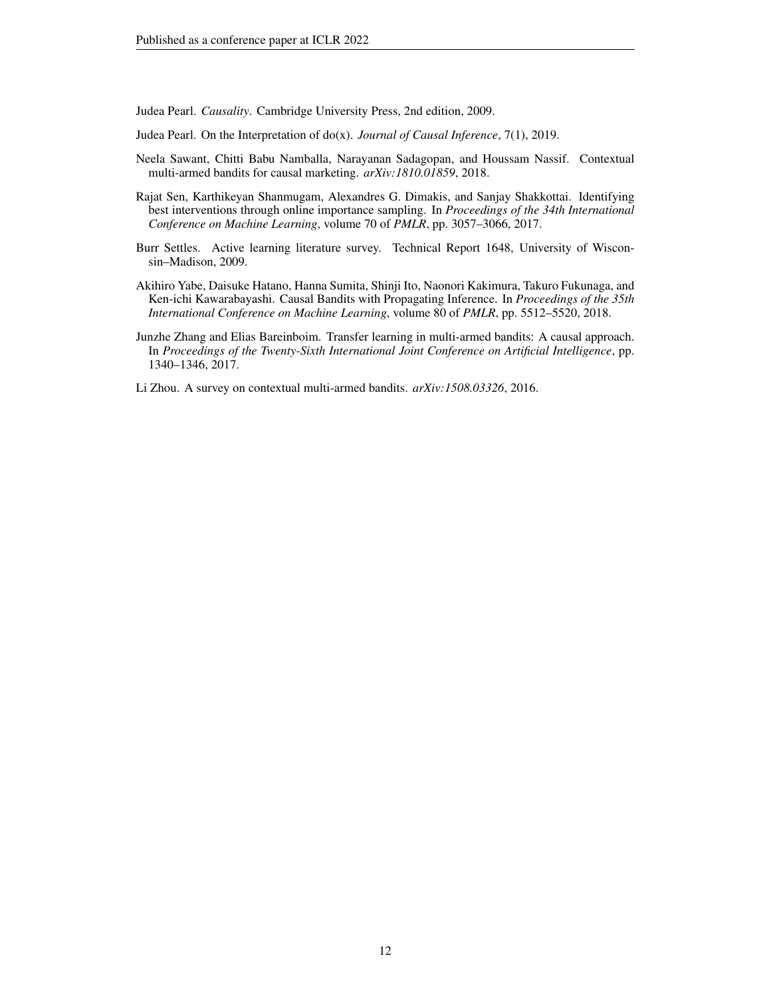<span id="page-11-2"></span>Judea Pearl. *Causality*. Cambridge University Press, 2nd edition, 2009.

- <span id="page-11-3"></span>Judea Pearl. On the Interpretation of do(x). *Journal of Causal Inference*, 7(1), 2019.
- <span id="page-11-0"></span>Neela Sawant, Chitti Babu Namballa, Narayanan Sadagopan, and Houssam Nassif. Contextual multi-armed bandits for causal marketing. *arXiv:1810.01859*, 2018.
- <span id="page-11-5"></span>Rajat Sen, Karthikeyan Shanmugam, Alexandres G. Dimakis, and Sanjay Shakkottai. Identifying best interventions through online importance sampling. In *Proceedings of the 34th International Conference on Machine Learning*, volume 70 of *PMLR*, pp. 3057–3066, 2017.
- <span id="page-11-7"></span>Burr Settles. Active learning literature survey. Technical Report 1648, University of Wisconsin–Madison, 2009.
- <span id="page-11-4"></span>Akihiro Yabe, Daisuke Hatano, Hanna Sumita, Shinji Ito, Naonori Kakimura, Takuro Fukunaga, and Ken-ichi Kawarabayashi. Causal Bandits with Propagating Inference. In *Proceedings of the 35th International Conference on Machine Learning*, volume 80 of *PMLR*, pp. 5512–5520, 2018.
- <span id="page-11-1"></span>Junzhe Zhang and Elias Bareinboim. Transfer learning in multi-armed bandits: A causal approach. In *Proceedings of the Twenty-Sixth International Joint Conference on Artificial Intelligence*, pp. 1340–1346, 2017.
- <span id="page-11-6"></span>Li Zhou. A survey on contextual multi-armed bandits. *arXiv:1508.03326*, 2016.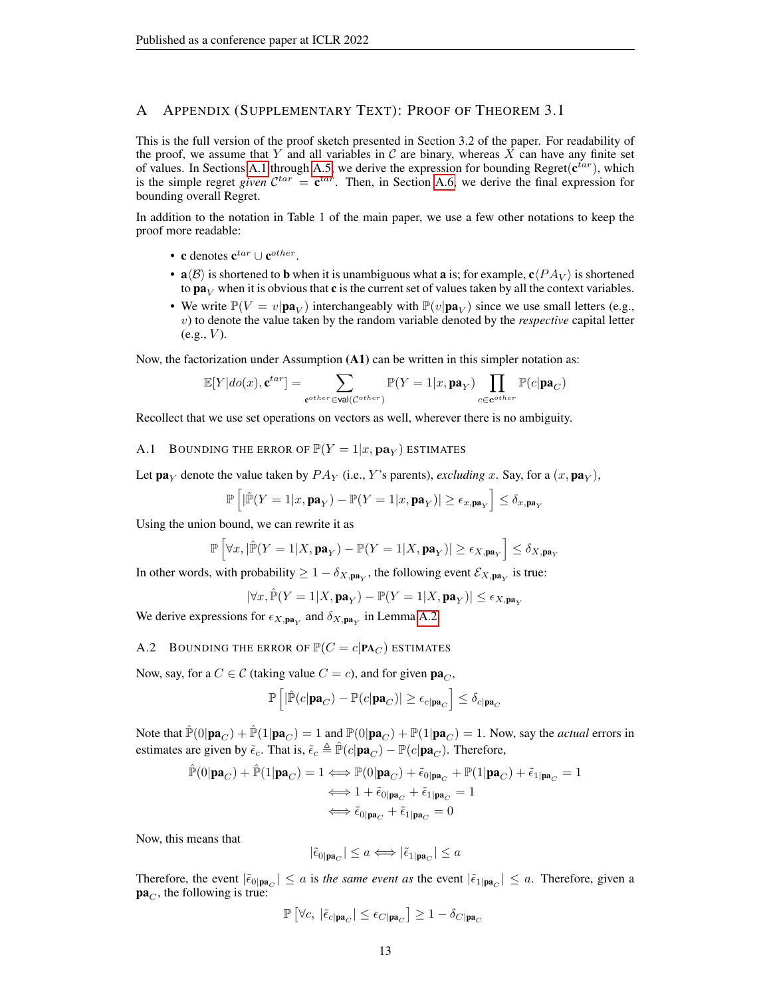## A APPENDIX (SUPPLEMENTARY TEXT): PROOF OF THEOREM 3.1

This is the full version of the proof sketch presented in Section 3.2 of the paper. For readability of the proof, we assume that Y and all variables in C are binary, whereas X can have any finite set of values. In Sections [A.1](#page-12-0) through [A.5,](#page-16-0) we derive the expression for bounding Regret( $c^{tar}$ ), which is the simple regret *given*  $\mathcal{C}^{tar} = \mathbf{c}^{tar}$ . Then, in Section [A.6,](#page-17-0) we derive the final expression for bounding overall Regret.

In addition to the notation in Table 1 of the main paper, we use a few other notations to keep the proof more readable:

- c denotes  $\mathbf{c}^{tar} \cup \mathbf{c}^{other}$ .
- $\mathbf{a} \langle \mathcal{B} \rangle$  is shortened to **b** when it is unambiguous what **a** is; for example,  $\mathbf{c} \langle PA_V \rangle$  is shortened to  $\mathbf{p} \mathbf{a}_V$  when it is obvious that **c** is the current set of values taken by all the context variables.
- We write  $\mathbb{P}(V = v | \mathbf{pa}_V)$  interchangeably with  $\mathbb{P}(v | \mathbf{pa}_V)$  since we use small letters (e.g., v) to denote the value taken by the random variable denoted by the *respective* capital letter  $(e.g., V)$ .

Now, the factorization under Assumption (A1) can be written in this simpler notation as:

$$
\mathbb{E}[Y|do(x), \mathbf{c}^{tar}] = \sum_{\mathbf{c}^{other} \in \mathbf{val}(\mathcal{C}^{other})} \mathbb{P}(Y = 1|x, \mathbf{pa}_Y) \prod_{c \in \mathbf{c}^{other}} \mathbb{P}(c|\mathbf{pa}_C)
$$

Recollect that we use set operations on vectors as well, wherever there is no ambiguity.

<span id="page-12-0"></span>A.1 BOUNDING THE ERROR OF  $\mathbb{P}(Y=1|x, \mathbf{pa}_Y)$  estimates

Let  $\mathbf{pa}_Y$  denote the value taken by  $PA_Y$  (i.e., Y's parents), *excluding* x. Say, for a  $(x, \mathbf{pa}_Y)$ ,

$$
\mathbb{P}\left[|\hat{\mathbb{P}}(Y=1|x,\mathbf{pa}_Y)-\mathbb{P}(Y=1|x,\mathbf{pa}_Y)|\geq \epsilon_{x,\mathbf{pa}_Y}\right]\leq \delta_{x,\mathbf{pa}_Y}
$$

Using the union bound, we can rewrite it as

$$
\mathbb{P}\left[\forall x, |\hat{\mathbb{P}}(Y=1|X, \mathbf{pa}_Y) - \mathbb{P}(Y=1|X, \mathbf{pa}_Y)| \ge \epsilon_{X, \mathbf{pa}_Y}\right] \le \delta_{X, \mathbf{pa}_Y}
$$

In other words, with probability  $\geq 1 - \delta_{X, \textbf{pa}_Y}$ , the following event  $\mathcal{E}_{X, \textbf{pa}_Y}$  is true:

$$
|\forall x, \hat{\mathbb{P}}(Y=1 | X, \mathbf{pa}_Y) - \mathbb{P}(Y=1 | X, \mathbf{pa}_Y)| \leq \epsilon_{X, \mathbf{pa}_Y}
$$

We derive expressions for  $\epsilon_{X, \textbf{pa}_Y}$  and  $\delta_{X, \textbf{pa}_Y}$  in Lemma [A.2.](#page-16-1)

A.2 BOUNDING THE ERROR OF  $\mathbb{P}(C = c | \mathbf{PA}_C)$  estimates

Now, say, for a  $C \in \mathcal{C}$  (taking value  $C = c$ ), and for given  $\mathbf{pa}_C$ ,

$$
\mathbb{P}\left[|\hat{\mathbb{P}}(c|\mathbf{pa}_{C}) - \mathbb{P}(c|\mathbf{pa}_{C})| \ge \epsilon_{c|\mathbf{pa}_{C}}\right] \le \delta_{c|\mathbf{pa}_{C}}
$$

Note that  $\mathbb{P}(0|\mathbf{pa}_C) + \mathbb{P}(1|\mathbf{pa}_C) = 1$  and  $\mathbb{P}(0|\mathbf{pa}_C) + \mathbb{P}(1|\mathbf{pa}_C) = 1$ . Now, say the *actual* errors in estimates are given by  $\tilde{\epsilon}_c$ . That is,  $\tilde{\epsilon}_c \triangleq \hat{\mathbb{P}}(c|\mathbf{pa}_C) - \mathbb{P}(c|\mathbf{pa}_C)$ . Therefore,

$$
\hat{\mathbb{P}}(0|\mathbf{pa}_C) + \hat{\mathbb{P}}(1|\mathbf{pa}_C) = 1 \Longleftrightarrow \mathbb{P}(0|\mathbf{pa}_C) + \tilde{\epsilon}_{0|\mathbf{pa}_C} + \mathbb{P}(1|\mathbf{pa}_C) + \tilde{\epsilon}_{1|\mathbf{pa}_C} = 1
$$
\n
$$
\Longleftrightarrow 1 + \tilde{\epsilon}_{0|\mathbf{pa}_C} + \tilde{\epsilon}_{1|\mathbf{pa}_C} = 1
$$
\n
$$
\Longleftrightarrow \tilde{\epsilon}_{0|\mathbf{pa}_C} + \tilde{\epsilon}_{1|\mathbf{pa}_C} = 0
$$

Now, this means that

$$
|\tilde{\epsilon}_{0|\mathbf{pa}_C}| \le a \Longleftrightarrow |\tilde{\epsilon}_{1|\mathbf{pa}_C}| \le a
$$

Therefore, the event  $|\tilde{\epsilon}_{0|\mathbf{pa}_C}|\leq a$  is *the same event as* the event  $|\tilde{\epsilon}_{1|\mathbf{pa}_C}|\leq a$ . Therefore, given a  $pa<sub>C</sub>$ , the following is true:

$$
\mathbb{P}\left[\forall c,\; |\tilde{\epsilon}_{c|\mathbf{pa}_C}| \leq \epsilon_{C|\mathbf{pa}_C}\right] \geq 1-\delta_{C|\mathbf{pa}_C}
$$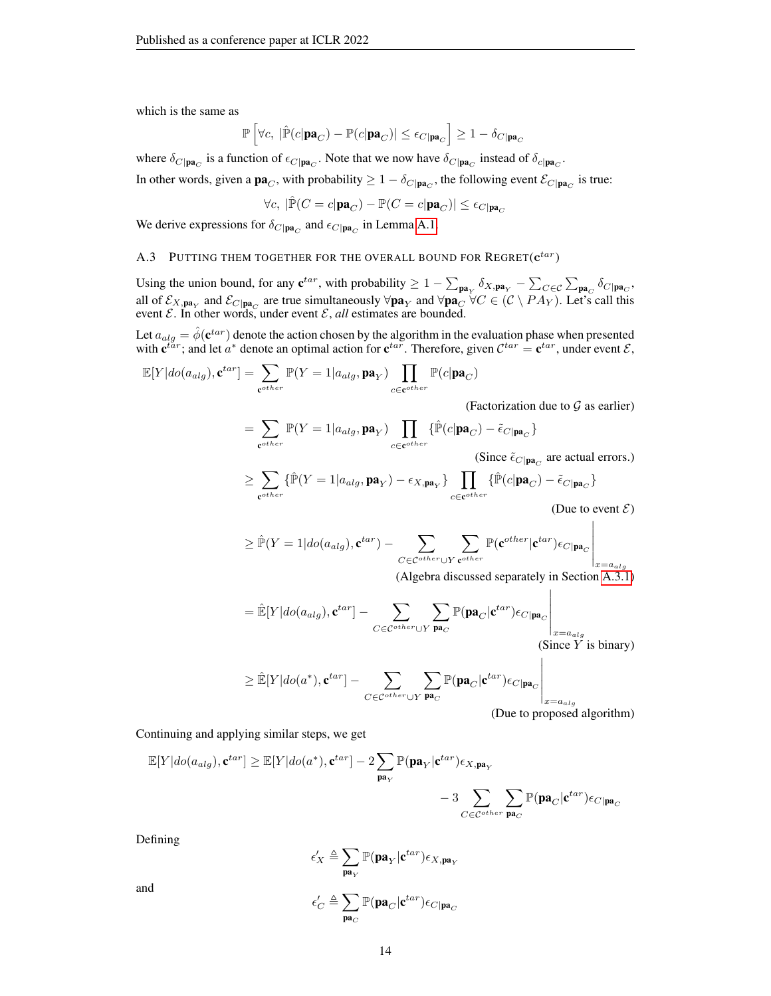which is the same as

$$
\mathbb{P}\left[\forall c, \ |\hat{\mathbb{P}}(c|\mathbf{pa}_C) - \mathbb{P}(c|\mathbf{pa}_C)| \le \epsilon_{C|\mathbf{pa}_C}\right] \ge 1 - \delta_{C|\mathbf{pa}_C}
$$

where  $\delta_{C|pa_C}$  is a function of  $\epsilon_{C|pa_C}$ . Note that we now have  $\delta_{C|pa_C}$  instead of  $\delta_{c|pa_C}$ .

In other words, given a  $\mathbf{pa}_C$ , with probability  $\geq 1 - \delta_C_{|\mathbf{pa}_C|}$ , the following event  $\mathcal{E}_C_{|\mathbf{pa}_C|}$  is true:

$$
\forall c, \; |\hat{\mathbb{P}}(C=c|\mathbf{pa}_{C})-\mathbb{P}(C=c|\mathbf{pa}_{C})|\leq \epsilon_{C|\mathbf{pa}_{C}}
$$

We derive expressions for  $\delta_{C|\mathbf{pa}_C}$  and  $\epsilon_{C|\mathbf{pa}_C}$  in Lemma [A.1.](#page-15-0)

## A.3 PUTTING THEM TOGETHER FOR THE OVERALL BOUND FOR REGRET $(\mathbf{c}^{tar})$

Using the union bound, for any  $\mathbf{c}^{tar}$ , with probability  $\geq 1 - \sum_{\mathbf{pa}_Y} \delta_{X,\mathbf{pa}_Y} - \sum_{C \in \mathcal{C}} \sum_{\mathbf{pa}_C} \delta_{C | \mathbf{pa}_C}$ , all of  $\mathcal{E}_{X,\mathbf{pa}_Y}$  and  $\mathcal{E}_{C|\mathbf{pa}_C}$  are true simultaneously  $\forall \mathbf{pa}_Y$  and  $\forall \mathbf{pa}_C \ \forall C \in (\mathcal{C} \setminus PA_Y)$ . Let's call this event  $\mathcal{E}$ . In other words, under event  $\mathcal{E}$ , *all* estimates are bounded.

Let  $a_{alg} = \hat{\phi}(\mathbf{c}^{tar})$  denote the action chosen by the algorithm in the evaluation phase when presented with  $\mathbf{c}^{tar}$ ; and let  $a^*$  denote an optimal action for  $\mathbf{c}^{tar}$ . Therefore, given  $\mathcal{C}^{tar} = \mathbf{c}^{tar}$ , under event  $\mathcal{E}$ ,

$$
\mathbb{E}[Y|do(a_{alg}), \mathbf{c}^{tar}] = \sum_{\mathbf{c}^{other}} \mathbb{P}(Y = 1|a_{alg}, \mathbf{pa}_Y) \prod_{c \in \mathbf{c}^{other}} \mathbb{P}(c|\mathbf{pa}_C)
$$

(Factorization due to  $G$  as earlier)

$$
= \sum_{\mathbf{c}^{other}} \mathbb{P}(Y = 1|a_{alg}, \mathbf{pa}_Y) \prod_{c \in \mathbf{c}^{other}} \{\hat{\mathbb{P}}(c|\mathbf{pa}_C) - \tilde{\epsilon}_{C|\mathbf{pa}_C}\}
$$

(Since  $\tilde{\epsilon}_{C|\mathbf{pa}_C}$  are actual errors.)

$$
\geq \sum_{\mathbf{c}^{other}} \{ \hat{\mathbb{P}}(Y=1|a_{alg}, \mathbf{pa}_Y) - \epsilon_{X, \mathbf{pa}_Y} \} \prod_{c \in \mathbf{c}^{other}} \{ \hat{\mathbb{P}}(c|\mathbf{pa}_C) - \tilde{\epsilon}_{C|\mathbf{pa}_C} \}
$$

(Due to event  $\mathcal{E}$ )  $\mathbf{L}$ 

$$
\geq \hat{\mathbb{P}}(Y = 1 | do(a_{alg}), \mathbf{c}^{tar}) - \sum_{C \in \mathcal{C}^{other} \cup Y} \sum_{\mathbf{c}^{other}} \mathbb{P}(\mathbf{c}^{other} | \mathbf{c}^{tar}) \epsilon_{C | \mathbf{pa}_C} \Bigg|_{x = a_{alg}}
$$

(Algebra discussed separately in Section [A.3.1\)](#page-14-0)

$$
= \hat{\mathbb{E}}[Y|do(a_{alg}), \mathbf{c}^{tar}] - \sum_{C \in \mathcal{C}^{other} \cup Y} \sum_{\mathbf{pa}_C} \mathbb{P}(\mathbf{pa}_C | \mathbf{c}^{tar}) \epsilon_{C | \mathbf{pa}_C} \Bigg|_{x = a_{alg}} (Since Y is binary)
$$

$$
\geq \mathbb{\hat{E}}[Y|do(a^*), \mathbf{c}^{tar}] - \sum_{C \in \mathcal{C}^{other} \cup Y} \sum_{\mathbf{pa}_C} \mathbb{P}(\mathbf{pa}_C | \mathbf{c}^{tar}) \epsilon_{C | \mathbf{pa}_C} \Bigg|_{x = a_{alg}}
$$

(Due to proposed algorithm)

 $\overline{1}$ 

Continuing and applying similar steps, we get

$$
\mathbb{E}[Y|do(a_{alg}), \mathbf{c}^{tar}] \ge \mathbb{E}[Y|do(a^*), \mathbf{c}^{tar}] - 2 \sum_{\mathbf{pa}_Y} \mathbb{P}(\mathbf{pa}_Y | \mathbf{c}^{tar}) \epsilon_{X, \mathbf{pa}_Y} - 3 \sum_{C \in \mathcal{C}^{other}} \sum_{\mathbf{pa}_C} \mathbb{P}(\mathbf{pa}_C | \mathbf{c}^{tar}) \epsilon_{C | \mathbf{pa}_C}
$$

Defining

$$
\begin{aligned} \epsilon_X' &\triangleq \sum_{\mathbf{pa}_Y}\mathbb{P}(\mathbf{pa}_Y|\mathbf{c}^{tar})\epsilon_{X,\mathbf{pa}_Y} \\ \epsilon_C' &\triangleq \sum_{\mathbf{pa}_C}\mathbb{P}(\mathbf{pa}_C|\mathbf{c}^{tar})\epsilon_{C|\mathbf{pa}_C} \end{aligned}
$$

and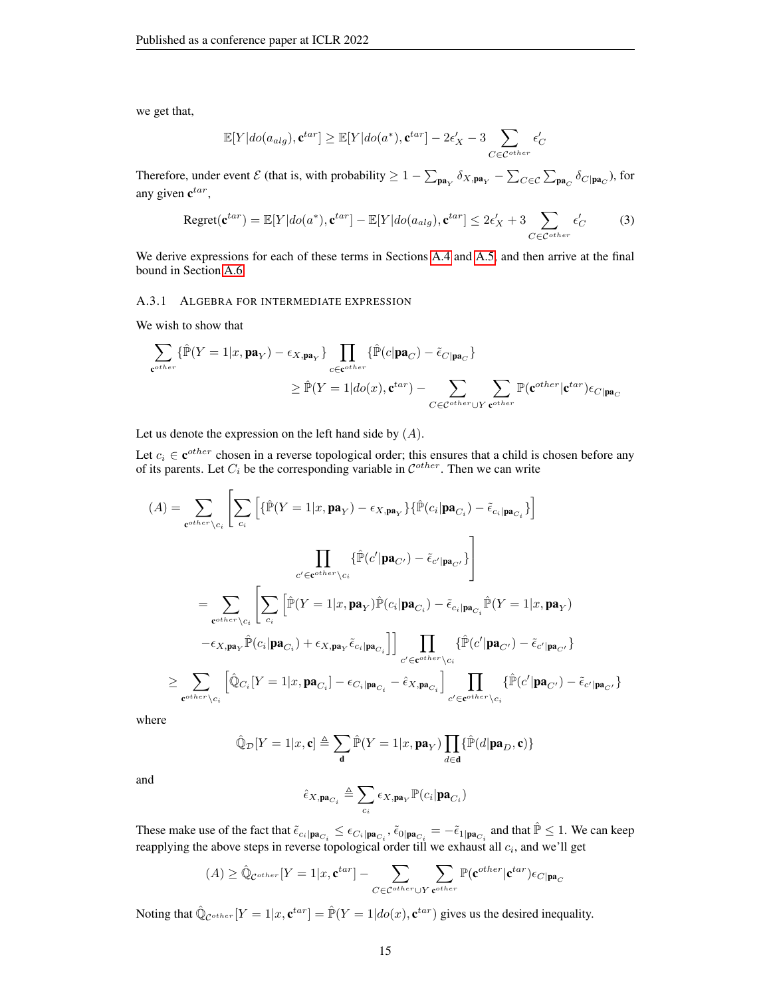we get that,

$$
\mathbb{E}[Y|do(a_{alg}), \mathbf{c}^{tar}] \ge \mathbb{E}[Y|do(a^*), \mathbf{c}^{tar}] - 2\epsilon'_X - 3 \sum_{C \in \mathcal{C}^{other}} \epsilon'_C
$$

Therefore, under event  $\mathcal{E}$  (that is, with probability  $\geq 1 - \sum_{\mathbf{pa}_Y} \delta_{X,\mathbf{pa}_Y} - \sum_{C \in \mathcal{C}} \sum_{\mathbf{pa}_C} \delta_{C|\mathbf{pa}_C}$ ), for any given  $\mathbf{c}^{tar}$ ,

<span id="page-14-1"></span>
$$
Regret(\mathbf{c}^{tar}) = \mathbb{E}[Y|do(a^*), \mathbf{c}^{tar}] - \mathbb{E}[Y|do(a_{alg}), \mathbf{c}^{tar}] \le 2\epsilon'_X + 3 \sum_{C \in \mathcal{C}^{other}} \epsilon'_C \tag{3}
$$

We derive expressions for each of these terms in Sections [A.4](#page-15-1) and [A.5,](#page-16-0) and then arrive at the final bound in Section [A.6.](#page-17-0)

#### <span id="page-14-0"></span>A.3.1 ALGEBRA FOR INTERMEDIATE EXPRESSION

We wish to show that

$$
\begin{aligned} \sum_{\mathbf{c}^{other}} \{ &\mathbb{\hat{P}}(Y=1|x,\mathbf{pa}_{Y})-\epsilon_{X,\mathbf{pa}_{Y}}\} \prod_{c \in \mathbf{c}^{other}} \{ &\mathbb{\hat{P}}(c|\mathbf{pa}_{C})-\tilde{\epsilon}_{C|\mathbf{pa}_{C}}\} \\ &\geq &\mathbb{\hat{P}}(Y=1|do(x),\mathbf{c}^{tar}) - \sum_{C \in \mathcal{C}^{other} \cup Y} \sum_{\mathbf{c}^{other} \cup Y} \mathbb{P}(\mathbf{c}^{other}|\mathbf{c}^{tar})\epsilon_{C|\mathbf{pa}_{C}} \end{aligned}
$$

Let us denote the expression on the left hand side by  $(A)$ .

Let  $c_i \in \mathbf{c}^{other}$  chosen in a reverse topological order; this ensures that a child is chosen before any of its parents. Let  $C_i$  be the corresponding variable in  $\mathcal{C}^{other}$ . Then we can write

$$
(A) = \sum_{\mathbf{c}^{other} \setminus c_i} \left[ \sum_{c_i} \left[ \{\hat{\mathbb{P}}(Y = 1 | x, \mathbf{pa}_Y) - \epsilon_{X, \mathbf{pa}_Y} \} \{\hat{\mathbb{P}}(c_i | \mathbf{pa}_{C_i}) - \tilde{\epsilon}_{c_i | \mathbf{pa}_{C_i}} \} \right] \right]
$$
  
\n
$$
= \sum_{\mathbf{c}^{other} \setminus c_i} \left[ \sum_{c_i} \left[ \hat{\mathbb{P}}(Y = 1 | x, \mathbf{pa}_Y) \hat{\mathbb{P}}(c_i | \mathbf{pa}_{C_i}) - \tilde{\epsilon}_{c_i | \mathbf{pa}_{C_i}} \right] \right]
$$
  
\n
$$
= \sum_{\mathbf{c}^{other} \setminus c_i} \left[ \sum_{c_i} \left[ \hat{\mathbb{P}}(Y = 1 | x, \mathbf{pa}_Y) \hat{\mathbb{P}}(c_i | \mathbf{pa}_{C_i}) - \tilde{\epsilon}_{c_i | \mathbf{pa}_{C_i}} \hat{\mathbb{P}}(Y = 1 | x, \mathbf{pa}_Y) \right] \right]
$$
  
\n
$$
- \epsilon_{X, \mathbf{pa}_Y} \hat{\mathbb{P}}(c_i | \mathbf{pa}_{C_i}) + \epsilon_{X, \mathbf{pa}_Y} \tilde{\epsilon}_{c_i | \mathbf{pa}_{C_i}} \right] \bigcup_{c' \in \mathbf{c}^{other} \setminus c_i} \left\{ \hat{\mathbb{P}}(c' | \mathbf{pa}_{C'}) - \tilde{\epsilon}_{c' | \mathbf{pa}_{C_i}} \right\}
$$
  
\n
$$
\geq \sum_{\mathbf{c}^{other} \setminus c_i} \left[ \hat{\mathbb{Q}}_{C_i} [Y = 1 | x, \mathbf{pa}_{C_i}] - \epsilon_{C_i | \mathbf{pa}_{C_i}} - \hat{\epsilon}_{X, \mathbf{pa}_{C_i}} \right] \prod_{c' \in \mathbf{c}^{other} \setminus c_i} \left\{ \hat{\mathbb{P}}(c' | \mathbf{pa}_{C'}) - \tilde{\epsilon}_{c' | \mathbf{pa}_{C_i}} \right\}
$$

where

$$
\hat{\mathbb{Q}}_{\mathcal{D}}[Y=1|x,\mathbf{c}] \triangleq \sum_{\mathbf{d}} \hat{\mathbb{P}}(Y=1|x,\mathbf{pa}_Y) \prod_{d \in \mathbf{d}} \{\hat{\mathbb{P}}(d|\mathbf{pa}_D,\mathbf{c})\}
$$

and

$$
\hat{\epsilon}_{X,\textbf{pa}_{C_i}} \triangleq \sum_{c_i} \epsilon_{X,\textbf{pa}_Y} \mathbb{P}(c_i|\textbf{pa}_{C_i})
$$

These make use of the fact that  $\tilde{\epsilon}_{c_i|\mathbf{pa}_{C_i}} \leq \epsilon_{C_i|\mathbf{pa}_{C_i}}, \tilde{\epsilon}_{0|\mathbf{pa}_{C_i}} = -\tilde{\epsilon}_{1|\mathbf{pa}_{C_i}}$  and that  $\hat{\mathbb{P}} \leq 1$ . We can keep reapplying the above steps in reverse topological order till we exhaust all  $c_i$ , and we'll get

$$
(A) \geq \hat{\mathbb{Q}}_{\mathcal{C}^{other}}[Y=1|x, \mathbf{c}^{tar}] - \sum_{C \in \mathcal{C}^{other} \cup Y} \sum_{\mathbf{c}^{other}} \mathbb{P}(\mathbf{c}^{other}|\mathbf{c}^{tar}) \epsilon_{C|\mathbf{pa}_C}
$$

Noting that  $\hat{\mathbb{Q}}_{\mathcal{C}^{other}}[Y=1|x, \mathbf{c}^{tar}] = \hat{\mathbb{P}}(Y=1|do(x), \mathbf{c}^{tar})$  gives us the desired inequality.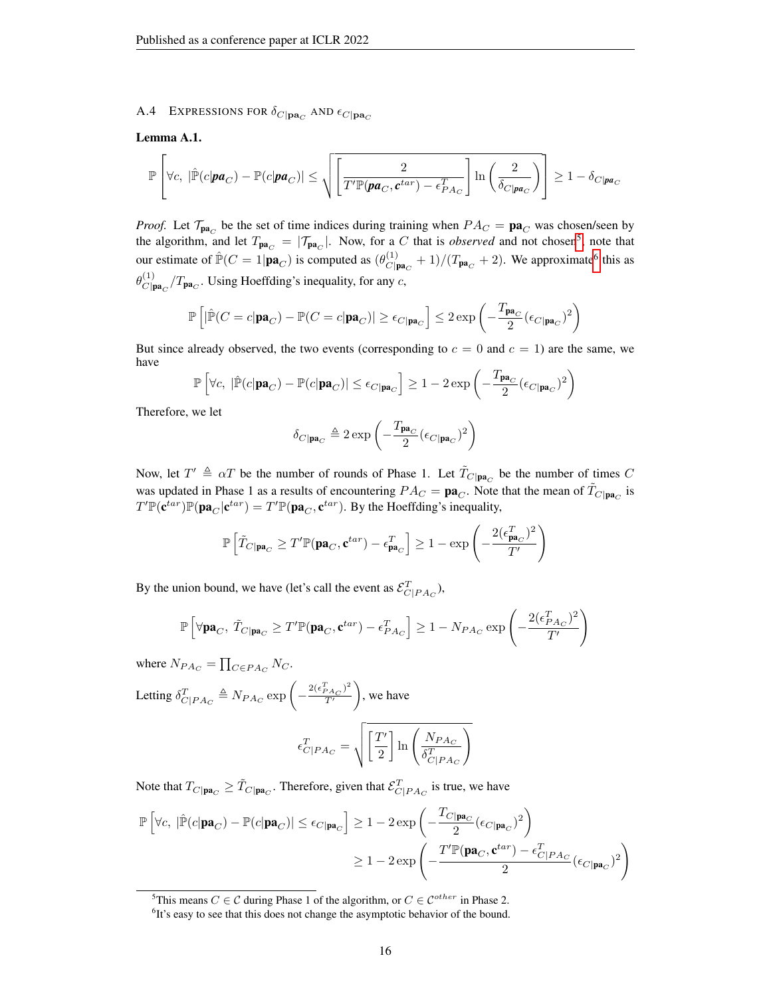<span id="page-15-1"></span>A.4 EXPRESSIONS FOR  $\delta_{C|\mathbf{pa}_C}$  and  $\epsilon_{C|\mathbf{pa}_C}$ 

#### <span id="page-15-0"></span>Lemma A.1.

$$
\mathbb{P}\left[\forall c,\; |\hat{\mathbb{P}}(c|\textbf{pa}_C)-\mathbb{P}(c|\textbf{pa}_C)|\leq \sqrt{\left[\frac{2}{T'\mathbb{P}(\textbf{pa}_C,\textbf{c}^{tar})-\epsilon_{PA_C}^T}\right]\ln\left(\frac{2}{\delta_{C|\textbf{pa}_C}}\right)}\right]\geq 1-\delta_{C|\textbf{pa}_C}
$$

*Proof.* Let  $\mathcal{T}_{\mathbf{pa}_C}$  be the set of time indices during training when  $PA_C = \mathbf{pa}_C$  was chosen/seen by the algorithm, and let  $T_{\mathbf{pa}_C} = |\mathcal{T}_{\mathbf{pa}_C}|$ . Now, for a C that is *observed* and not chosen<sup>[5](#page-15-2)</sup>, note that our estimate of  $\mathbb{P}(C = 1 | \mathbf{pa}_C)$  is computed as  $(\theta_{C | \mathbf{r}}^{(1)})$  $\frac{d^{(1)}}{C|\mathbf{pa}_C|} + 1$ / $(T_{\mathbf{pa}_C} + 2)$ . We approximate<sup>[6](#page-15-3)</sup> this as  $\theta^{(1)}_{C}$ l  $\frac{C(p_0)}{C(p_0)}$   $T_{pa_C}$ . Using Hoeffding's inequality, for any c,

$$
\mathbb{P}\left[|\hat{\mathbb{P}}(C=c|\mathbf{pa}_{C})-\mathbb{P}(C=c|\mathbf{pa}_{C})|\ge \epsilon_{C|\mathbf{pa}_{C}}\right]\le 2\exp\left(-\frac{T_{\mathbf{pa}_{C}}}{2}(\epsilon_{C|\mathbf{pa}_{C}})^{2}\right)
$$

But since already observed, the two events (corresponding to  $c = 0$  and  $c = 1$ ) are the same, we have

$$
\mathbb{P}\left[\forall c,\; |\hat{\mathbb{P}}(c|\mathbf{pa}_{C}) - \mathbb{P}(c|\mathbf{pa}_{C})| \leq \epsilon_{C|\mathbf{pa}_{C}}\right] \geq 1-2\exp\left(-\frac{T_{\mathbf{pa}_{C}}}{2}(\epsilon_{C|\mathbf{pa}_{C}})^{2}\right)
$$

Therefore, we let

$$
\delta_{C|{\mathbf p}{\mathbf a}_C} \triangleq 2\exp\left(-\frac{T_{{\mathbf p}{\mathbf a}_C}}{2}(\epsilon_{C|{\mathbf p}{\mathbf a}_C})^2\right)
$$

Now, let  $T' \triangleq \alpha T$  be the number of rounds of Phase 1. Let  $\tilde{T}_{C|\mathbf{pa}_C}$  be the number of times C was updated in Phase 1 as a results of encountering  $PA_C = \mathbf{pa}_C$ . Note that the mean of  $\tilde{T}_{C|\mathbf{pa}_C}$  is  $T' \mathbb{P}(\mathbf{c}^{tar}) \mathbb{P}(\mathbf{pa}_C | \mathbf{c}^{tar}) = T' \mathbb{P}(\mathbf{pa}_C, \mathbf{c}^{tar})$ . By the Hoeffding's inequality,

$$
\mathbb{P}\left[\tilde{T}_{C|\mathbf{pa}_C} \ge T'\mathbb{P}(\mathbf{pa}_C, \mathbf{c}^{tar}) - \epsilon_{\mathbf{pa}_C}^T\right] \ge 1 - \exp\left(-\frac{2(\epsilon_{\mathbf{pa}_C}^T)^2}{T'}\right)
$$

By the union bound, we have (let's call the event as  $\mathcal{E}^T_{C|P A_C}$ ),

$$
\mathbb{P}\left[\forall \mathbf{pa}_C, \ \tilde{T}_{C|\mathbf{pa}_C} \ge T'\mathbb{P}(\mathbf{pa}_C, \mathbf{c}^{tar}) - \epsilon_{PA_C}^T\right] \ge 1 - N_{PA_C} \exp\left(-\frac{2(\epsilon_{PA_C}^T)^2}{T'}\right)
$$

where  $N_{PA_C} = \prod_{C \in PA_C} N_C$ .

Letting 
$$
\delta_{C|PAc}^T \triangleq N_{P A_C} \exp\left(-\frac{2(\epsilon_{P A_C}^T)^2}{T'}\right)
$$
, we have  

$$
\epsilon_{C|P A_C}^T = \sqrt{\left[\frac{T'}{2}\right] \ln\left(\frac{N_{P A_C}}{\delta_{C|P A_C}^T}\right)}
$$

Note that  $T_{C|\mathbf{pa}_C} \geq \tilde{T}_{C|\mathbf{pa}_C}$ . Therefore, given that  $\mathcal{E}_{C|P A_C}^T$  is true, we have

$$
\begin{aligned} \mathbb{P}\left[\forall c,\; |\hat{\mathbb{P}}(c|\mathbf{pa}_{C})-\mathbb{P}(c|\mathbf{pa}_{C})|\leq \epsilon_{C|\mathbf{pa}_{C}}\right] &\geq 1-2\exp\left(-\frac{T_{C|\mathbf{pa}_{C}}}{2}(\epsilon_{C|\mathbf{pa}_{C}})^{2}\right) \\ &\geq 1-2\exp\left(-\frac{T'\mathbb{P}(\mathbf{pa}_{C},\mathbf{c}^{tar})-\epsilon_{C|PA_{C}}^{T}}{2}(\epsilon_{C|\mathbf{pa}_{C}})^{2}\right) \end{aligned}
$$

<span id="page-15-2"></span><sup>&</sup>lt;sup>5</sup>This means  $C \in \mathcal{C}$  during Phase 1 of the algorithm, or  $C \in \mathcal{C}^{other}$  in Phase 2.

<span id="page-15-3"></span><sup>&</sup>lt;sup>6</sup>It's easy to see that this does not change the asymptotic behavior of the bound.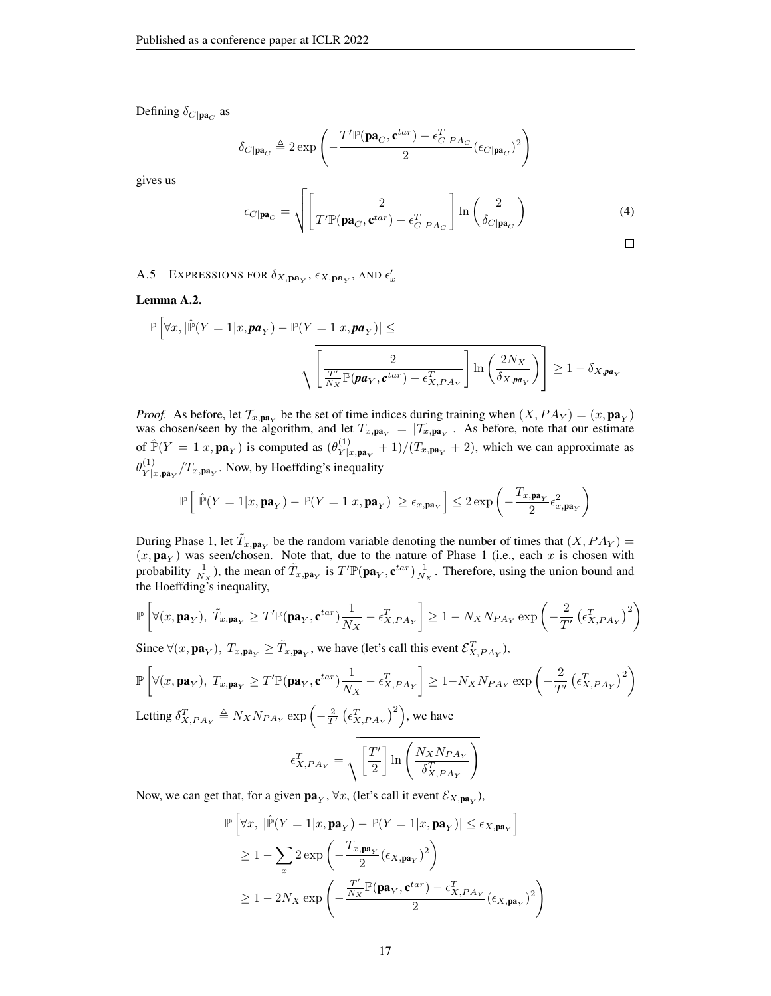Defining  $\delta_{C|\mathbf{pa}_C}$  as

$$
\delta_{C | \mathbf{pa}_C} \triangleq 2 \exp \left(-\frac{T'\mathbb{P}(\mathbf{pa}_C, \mathbf{c}^{tar}) - \epsilon_{C|PAc}^T}{2} (\epsilon_{C | \mathbf{pa}_C})^2\right)
$$

gives us

<span id="page-16-2"></span>
$$
\epsilon_{C|\mathbf{pa}_C} = \sqrt{\left[\frac{2}{T'\mathbb{P}(\mathbf{pa}_C, \mathbf{c}^{tar}) - \epsilon_{C|P A_C}^T}\right] \ln\left(\frac{2}{\delta_{C|\mathbf{pa}_C}}\right)}
$$
(4)

<span id="page-16-0"></span>A.5 EXPRESSIONS FOR  $\delta_{X,\mathbf{pa}_Y}$ ,  $\epsilon_{X,\mathbf{pa}_Y}$ , and  $\epsilon'_x$ 

<span id="page-16-1"></span>Lemma A.2.

$$
\mathbb{P}\left[\forall x, |\hat{\mathbb{P}}(Y=1|x, \mathbf{pa}_Y) - \mathbb{P}(Y=1|x, \mathbf{pa}_Y)| \le \sqrt{\left[\frac{2}{\frac{T'}{N_X}\mathbb{P}(\mathbf{pa}_Y, \mathbf{c}^{tar}) - \epsilon_{X,PA_Y}^T}\right] \ln\left(\frac{2N_X}{\delta_{X, \mathbf{pa}_Y}}\right)}\right] \ge 1 - \delta_{X, \mathbf{pa}_Y}
$$

*Proof.* As before, let  $\mathcal{T}_{x, \text{pa}_Y}$  be the set of time indices during training when  $(X, PA_Y) = (x, \text{pa}_Y)$ was chosen/seen by the algorithm, and let  $T_{x,pa_Y} = |T_{x,pa_Y}|$ . As before, note that our estimate of  $\mathbb{P}(Y = 1 | x, \mathbf{pa}_Y)$  is computed as  $(\theta_{Y|x}^{(1)})$  $\frac{Y|X}{Y|x, \mathbf{pa}_Y} + 1$ / $(T_{x, \mathbf{pa}_Y} + 2)$ , which we can approximate as  $\theta_{\scriptscriptstyle\mathcal{V}^{\parallel}}^{(1)}$  $Y_{X|x,\mathbf{pa}_Y}^{(1)}/T_{x,\mathbf{pa}_Y}$ . Now, by Hoeffding's inequality

$$
\mathbb{P}\left[|\hat{\mathbb{P}}(Y=1|x,\mathbf{pa}_Y)-\mathbb{P}(Y=1|x,\mathbf{pa}_Y)|\ge \epsilon_{x,\mathbf{pa}_Y}\right]\le 2\exp\left(-\frac{T_{x,\mathbf{pa}_Y}}{2}\epsilon_{x,\mathbf{pa}_Y}^2\right)
$$

During Phase 1, let  $\tilde{T}_{x, \textbf{pa}_Y}$  be the random variable denoting the number of times that  $(X, PA_Y)$  =  $(x, \textbf{pa}_Y)$  was seen/chosen. Note that, due to the nature of Phase 1 (i.e., each x is chosen with probability  $\frac{1}{N_X}$ ), the mean of  $\tilde{T}_{x, \textbf{pa}_Y}$  is  $T' \mathbb{P}(\textbf{pa}_Y, \textbf{c}^{tar}) \frac{1}{N_X}$ . Therefore, using the union bound and the Hoeffding's inequality,

$$
\mathbb{P}\left[\forall (x, \mathbf{pa}_Y), \ \tilde{T}_{x, \mathbf{pa}_Y} \geq T'\mathbb{P}(\mathbf{pa}_Y, \mathbf{c}^{tar})\frac{1}{N_X} - \epsilon_{X,PA_Y}^T\right] \geq 1 - N_XN_{PA_Y}\exp\left(-\frac{2}{T'}\left(\epsilon_{X,PA_Y}^T\right)^2\right)
$$

Since  $\forall (x, \mathbf{pa}_Y), T_{x, \mathbf{pa}_Y} \geq \tilde{T}_{x, \mathbf{pa}_Y}$ , we have (let's call this event  $\mathcal{E}_{X, PA_Y}^T$ ),

$$
\mathbb{P}\left[\forall (x, \mathbf{pa}_Y), T_{x, \mathbf{pa}_Y} \ge T'\mathbb{P}(\mathbf{pa}_Y, \mathbf{c}^{tar})\frac{1}{N_X} - \epsilon_{X, PA_Y}^T\right] \ge 1 - N_X N_{PA_Y} \exp\left(-\frac{2}{T'}\left(\epsilon_{X, PA_Y}^T\right)^2\right)
$$
  
Letting  $\delta_{X, PA_Y}^T \triangleq N_X N_{PA_Y} \exp\left(-\frac{2}{T'}\left(\epsilon_{X, PA_Y}^T\right)^2\right)$ , we have

$$
\epsilon_{X,PA_Y}^T = \sqrt{\left[\frac{T'}{2}\right] \ln\left(\frac{N_X N_{PA_Y}}{\delta_{X,PA_Y}^T}\right)}
$$

Now, we can get that, for a given  $\mathbf{pa}_Y$ ,  $\forall x$ , (let's call it event  $\mathcal{E}_{X,\mathbf{pa}_Y}$ ),

$$
\mathbb{P}\left[\forall x, \ |\hat{\mathbb{P}}(Y=1|x, \mathbf{pa}_Y) - \mathbb{P}(Y=1|x, \mathbf{pa}_Y)| \le \epsilon_{X, \mathbf{pa}_Y}\right]
$$
\n
$$
\ge 1 - \sum_x 2 \exp\left(-\frac{T_{x, \mathbf{pa}_Y}}{2} (\epsilon_{X, \mathbf{pa}_Y})^2\right)
$$
\n
$$
\ge 1 - 2N_X \exp\left(-\frac{\frac{T'}{N_X} \mathbb{P}(\mathbf{pa}_Y, \mathbf{c}^{tar}) - \epsilon_{X, PA_Y}^T}{2} (\epsilon_{X, \mathbf{pa}_Y})^2\right)
$$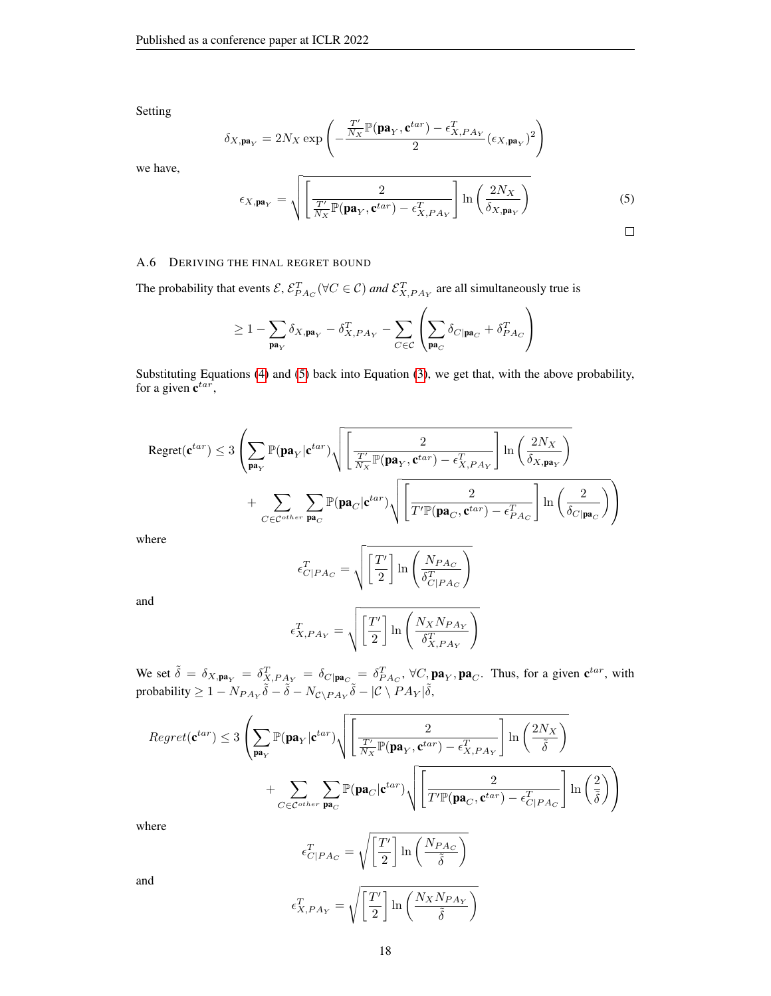Setting

$$
\delta_{X,\mathbf{pa}_Y} = 2N_X \exp\left(-\frac{\frac{T'}{N_X} \mathbb{P}(\mathbf{pa}_Y, \mathbf{c}^{tar}) - \epsilon_{X,PA_Y}^T}{2} (\epsilon_{X,\mathbf{pa}_Y})^2\right)
$$

we have,

<span id="page-17-1"></span>
$$
\epsilon_{X,\mathbf{pa}_Y} = \sqrt{\left[\frac{2}{\frac{T'}{N_X}\mathbb{P}(\mathbf{pa}_Y,\mathbf{c}^{tar}) - \epsilon_{X,PA_Y}^T}\right] \ln\left(\frac{2N_X}{\delta_{X,\mathbf{pa}_Y}}\right)}
$$
(5)

## <span id="page-17-0"></span>A.6 DERIVING THE FINAL REGRET BOUND

The probability that events  $\mathcal{E}, \mathcal{E}_{PA_C}^T(\forall C \in \mathcal{C})$  and  $\mathcal{E}_{X,PA_Y}^T$  are all simultaneously true is

$$
\geq 1 - \sum_{\mathbf{pa}_Y} \delta_{X, \mathbf{pa}_Y} - \delta_{X, PA_Y}^T - \sum_{C \in \mathcal{C}} \left( \sum_{\mathbf{pa}_C} \delta_{C | \mathbf{pa}_C} + \delta_{PA_C}^T \right)
$$

Substituting Equations [\(4\)](#page-16-2) and [\(5\)](#page-17-1) back into Equation [\(3\)](#page-14-1), we get that, with the above probability, for a given  $\mathbf{c}^{tar}$ ,

$$
\begin{aligned} \text{Regret}(\mathbf{c}^{tar}) \leq 3 \left( \sum_{\mathbf{pa}_Y} \mathbb{P}(\mathbf{pa}_Y | \mathbf{c}^{tar}) \sqrt{\left[ \frac{2}{\frac{T'}{N_X} \mathbb{P}(\mathbf{pa}_Y, \mathbf{c}^{tar}) - \epsilon_{X,PA_Y}^T} \right] \ln \left( \frac{2N_X}{\delta_{X, \mathbf{pa}_Y}} \right)} + \sum_{C \in \mathcal{C}^{other}} \sum_{\mathbf{pa}_C} \mathbb{P}(\mathbf{pa}_C | \mathbf{c}^{tar}) \sqrt{\left[ \frac{2}{T' \mathbb{P}(\mathbf{pa}_C, \mathbf{c}^{tar}) - \epsilon_{PA_C}^T} \right] \ln \left( \frac{2}{\delta_{C | \mathbf{pa}_C}} \right)} \right) \end{aligned}
$$

where

$$
\epsilon_{C|PA_C}^T = \sqrt{\left[\frac{T'}{2}\right] \ln\left(\frac{N_{PA_C}}{\delta_{C|PA_C}^T}\right)}
$$

and

$$
\epsilon_{X,PA_Y}^T = \sqrt{\left[\frac{T'}{2}\right] \ln\left(\frac{N_X N_{PA_Y}}{\delta_{X,PA_Y}^T}\right)}
$$

We set  $\tilde{\delta} = \delta_{X,\mathbf{pa}_Y} = \delta_{X,PA_Y}^T = \delta_{C|\mathbf{pa}_C} = \delta_{PA_C}^T$ ,  $\forall C, \mathbf{pa}_Y, \mathbf{pa}_C$ . Thus, for a given  $\mathbf{c}^{tar}$ , with probability  $\geq 1-N_{PA_Y}\widetilde{\delta}-\widetilde{\delta}-N_{\mathcal{C}\backslash PA_Y}\widetilde{\delta}-|\mathcal{C}\setminus PA_Y|\widetilde{\delta},$ 

$$
Regret(\mathbf{c}^{tar}) \leq 3 \left( \sum_{\mathbf{pa}_Y} \mathbb{P}(\mathbf{pa}_Y | \mathbf{c}^{tar}) \sqrt{\left[ \frac{2}{\frac{T'}{N_X} \mathbb{P}(\mathbf{pa}_Y, \mathbf{c}^{tar}) - \epsilon_{X,PA_Y}^T} \right] \ln\left(\frac{2N_X}{\tilde{\delta}}\right)} + \sum_{C \in \mathcal{C}^{other}} \sum_{\mathbf{pa}_C} \mathbb{P}(\mathbf{pa}_C | \mathbf{c}^{tar}) \sqrt{\left[ \frac{2}{T' \mathbb{P}(\mathbf{pa}_C, \mathbf{c}^{tar}) - \epsilon_{C|PA_C}^T} \right] \ln\left(\frac{2}{\tilde{\delta}}\right)} \right)
$$

where

$$
\epsilon_{C|PA_C}^T = \sqrt{\left[\frac{T'}{2}\right] \ln\left(\frac{N_{PA_C}}{\tilde{\delta}}\right)}
$$

and

$$
\epsilon_{X,PA_Y}^T = \sqrt{\left[\frac{T'}{2}\right] \ln\left(\frac{N_X N_{PA_Y}}{\tilde{\delta}}\right)}
$$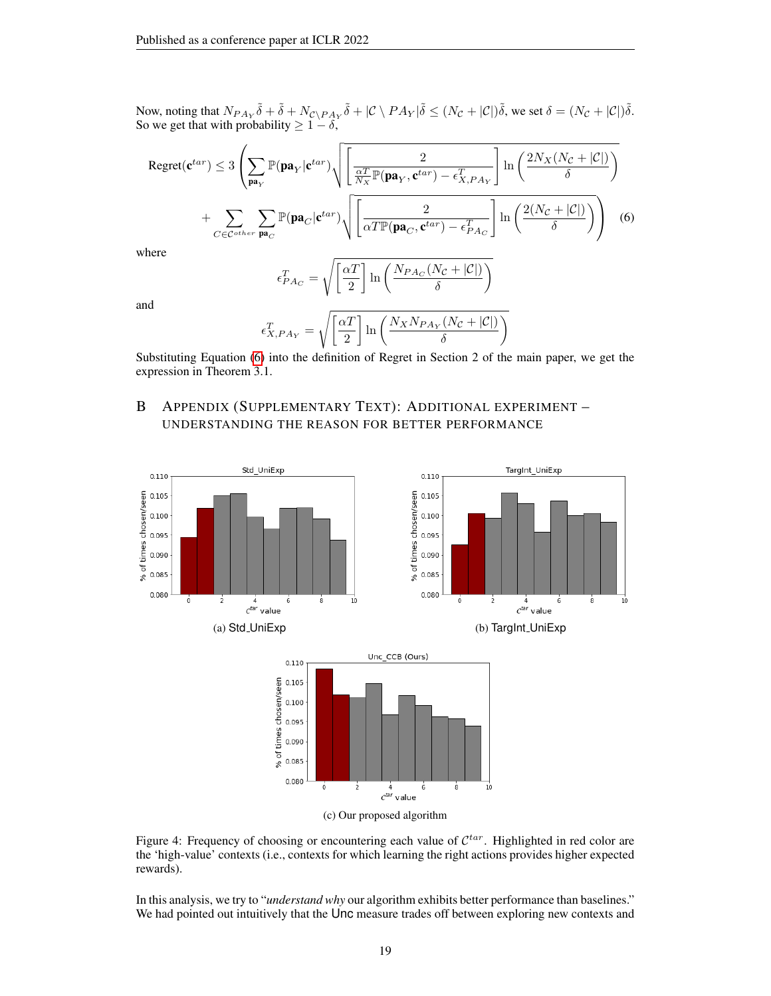Now, noting that  $N_{PA_Y}\tilde{\delta} + \tilde{\delta} + N_{\mathcal{C}\backslash PA_Y}\tilde{\delta} + |\mathcal{C}\setminus PA_Y|\tilde{\delta} \leq (N_{\mathcal{C}} + |\mathcal{C}|)\tilde{\delta}$ , we set  $\delta = (N_{\mathcal{C}} + |\mathcal{C}|)\tilde{\delta}$ . So we get that with probability  $\geq 1 - \delta$ ,

$$
\text{Regret}(\mathbf{c}^{tar}) \leq 3 \left( \sum_{\mathbf{pa}_Y} \mathbb{P}(\mathbf{pa}_Y | \mathbf{c}^{tar}) \sqrt{\left[ \frac{2}{\frac{\alpha T}{N_X} \mathbb{P}(\mathbf{pa}_Y, \mathbf{c}^{tar}) - \epsilon_{X,PA_Y}^T} \right] \ln \left( \frac{2N_X(N_C + |C|)}{\delta} \right)} + \sum_{C \in \mathcal{C}^{other}} \sum_{\mathbf{pa}_C} \mathbb{P}(\mathbf{pa}_C | \mathbf{c}^{tar}) \sqrt{\left[ \frac{2}{\alpha T \mathbb{P}(\mathbf{pa}_C, \mathbf{c}^{tar}) - \epsilon_{PA_C}^T} \right] \ln \left( \frac{2(N_C + |C|)}{\delta} \right)} \tag{6}
$$

where

<span id="page-18-0"></span>
$$
\epsilon_{PAc}^T = \sqrt{\left[\frac{\alpha T}{2}\right] \ln\left(\frac{N_{PA_C}(N_C + |\mathcal{C}|)}{\delta}\right)}
$$

and

$$
\epsilon_{X,PA_Y}^T = \sqrt{\left[\frac{\alpha T}{2}\right] \ln\left(\frac{N_X N_{PA_Y}(N_{\mathcal{C}} + |\mathcal{C}|)}{\delta}\right)}
$$

Substituting Equation [\(6\)](#page-18-0) into the definition of Regret in Section 2 of the main paper, we get the expression in Theorem 3.1.

# B APPENDIX (SUPPLEMENTARY TEXT): ADDITIONAL EXPERIMENT – UNDERSTANDING THE REASON FOR BETTER PERFORMANCE

<span id="page-18-1"></span>

Figure 4: Frequency of choosing or encountering each value of  $\mathcal{C}^{tar}$ . Highlighted in red color are the 'high-value' contexts (i.e., contexts for which learning the right actions provides higher expected rewards).

In this analysis, we try to "*understand why* our algorithm exhibits better performance than baselines." We had pointed out intuitively that the Unc measure trades off between exploring new contexts and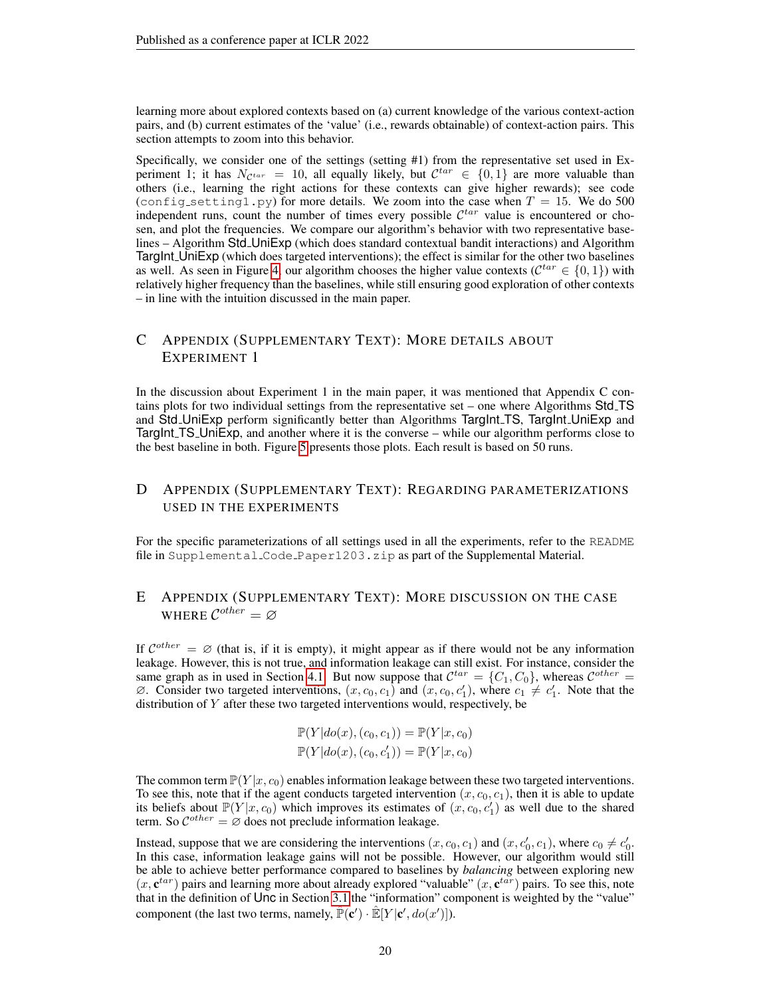learning more about explored contexts based on (a) current knowledge of the various context-action pairs, and (b) current estimates of the 'value' (i.e., rewards obtainable) of context-action pairs. This section attempts to zoom into this behavior.

Specifically, we consider one of the settings (setting #1) from the representative set used in Experiment 1; it has  $N_{\mathcal{C}^{tar}} = 10$ , all equally likely, but  $\mathcal{C}^{tar} \in \{0,1\}$  are more valuable than others (i.e., learning the right actions for these contexts can give higher rewards); see code (config setting 1. py) for more details. We zoom into the case when  $T = 15$ . We do 500 independent runs, count the number of times every possible  $\mathcal{C}^{tar}$  value is encountered or chosen, and plot the frequencies. We compare our algorithm's behavior with two representative baselines – Algorithm Std\_UniExp (which does standard contextual bandit interactions) and Algorithm TargInt UniExp (which does targeted interventions); the effect is similar for the other two baselines as well. As seen in Figure [4,](#page-18-1) our algorithm chooses the higher value contexts ( $\mathcal{C}^{tar} \in \{0,1\}$ ) with relatively higher frequency than the baselines, while still ensuring good exploration of other contexts – in line with the intuition discussed in the main paper.

# C APPENDIX (SUPPLEMENTARY TEXT): MORE DETAILS ABOUT EXPERIMENT 1

In the discussion about Experiment 1 in the main paper, it was mentioned that Appendix C contains plots for two individual settings from the representative set – one where Algorithms Std TS and Std UniExp perform significantly better than Algorithms TargInt TS, TargInt UniExp and TargInt TS UniExp, and another where it is the converse – while our algorithm performs close to the best baseline in both. Figure [5](#page-20-0) presents those plots. Each result is based on 50 runs.

# D APPENDIX (SUPPLEMENTARY TEXT): REGARDING PARAMETERIZATIONS USED IN THE EXPERIMENTS

For the specific parameterizations of all settings used in all the experiments, refer to the README file in Supplemental Code Paper1203.zip as part of the Supplemental Material.

# E APPENDIX (SUPPLEMENTARY TEXT): MORE DISCUSSION ON THE CASE WHERE  $\mathcal{C}^{other}=\varnothing$

If  $\mathcal{C}^{other} = \varnothing$  (that is, if it is empty), it might appear as if there would not be any information leakage. However, this is not true, and information leakage can still exist. For instance, consider the same graph as in used in Section [4.1.](#page-7-0) But now suppose that  $\mathcal{C}^{tar} = \{C_1, C_0\}$ , whereas  $\mathcal{C}^{other} =$  $\emptyset$ . Consider two targeted interventions,  $(x, c_0, c_1)$  and  $(x, c_0, c'_1)$ , where  $c_1 \neq c'_1$ . Note that the distribution of Y after these two targeted interventions would, respectively, be

$$
\mathbb{P}(Y|do(x), (c_0, c_1)) = \mathbb{P}(Y|x, c_0)
$$
  

$$
\mathbb{P}(Y|do(x), (c_0, c'_1)) = \mathbb{P}(Y|x, c_0)
$$

The common term  $\mathbb{P}(Y|x, c_0)$  enables information leakage between these two targeted interventions. To see this, note that if the agent conducts targeted intervention  $(x, c_0, c_1)$ , then it is able to update its beliefs about  $\mathbb{P}(Y|x, c_0)$  which improves its estimates of  $(x, c_0, c'_1)$  as well due to the shared term. So  $C^{other} = \emptyset$  does not preclude information leakage.

Instead, suppose that we are considering the interventions  $(x, c_0, c_1)$  and  $(x, c'_0, c_1)$ , where  $c_0 \neq c'_0$ . In this case, information leakage gains will not be possible. However, our algorithm would still be able to achieve better performance compared to baselines by *balancing* between exploring new  $(x, e^{tar})$  pairs and learning more about already explored "valuable"  $(x, e^{tar})$  pairs. To see this, note that in the definition of Unc in Section [3.1](#page-4-0) the "information" component is weighted by the "value" component (the last two terms, namely,  $\mathbb{\hat{P}}(\mathbf{c}') \cdot \mathbb{\hat{E}}[Y | \mathbf{c}', do(x')]$ ).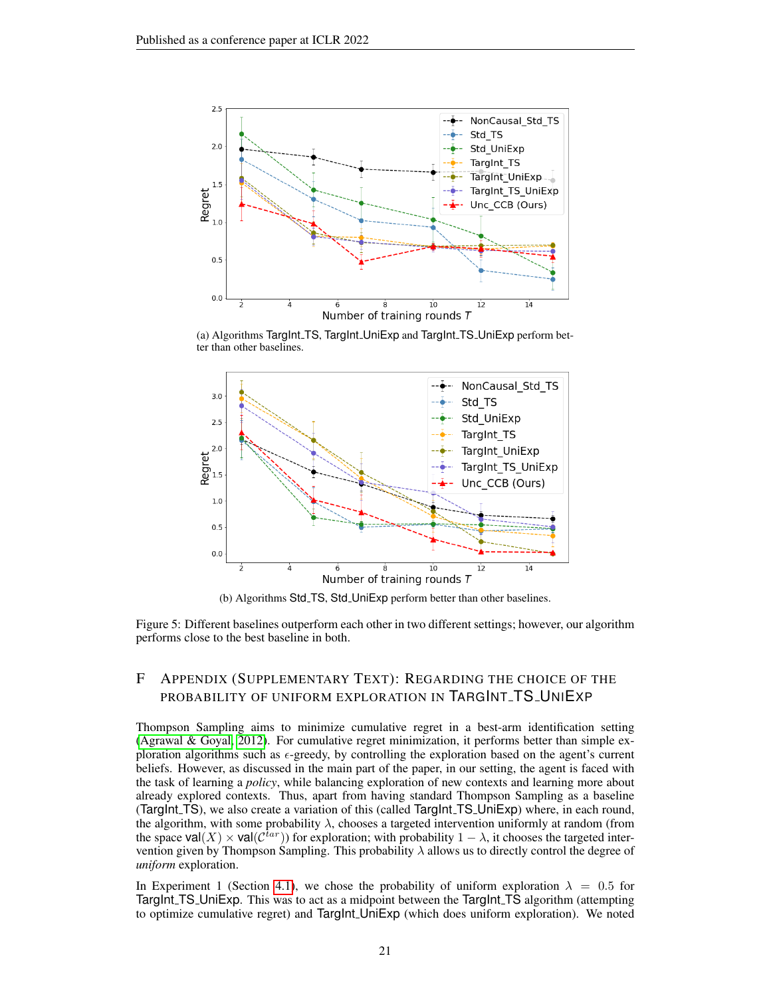<span id="page-20-0"></span>

(a) Algorithms TargInt TS, TargInt UniExp and TargInt TS UniExp perform better than other baselines.



(b) Algorithms Std TS, Std UniExp perform better than other baselines.

Figure 5: Different baselines outperform each other in two different settings; however, our algorithm performs close to the best baseline in both.

# F APPENDIX (SUPPLEMENTARY TEXT): REGARDING THE CHOICE OF THE PROBABILITY OF UNIFORM EXPLORATION IN TARGINT\_TS\_UNIEXP

Thompson Sampling aims to minimize cumulative regret in a best-arm identification setting [\(Agrawal & Goyal, 2012\)](#page-10-12). For cumulative regret minimization, it performs better than simple exploration algorithms such as  $\epsilon$ -greedy, by controlling the exploration based on the agent's current beliefs. However, as discussed in the main part of the paper, in our setting, the agent is faced with the task of learning a *policy*, while balancing exploration of new contexts and learning more about already explored contexts. Thus, apart from having standard Thompson Sampling as a baseline (TargInt<sub>TS</sub>), we also create a variation of this (called TargInt<sub>TS</sub> UniExp) where, in each round, the algorithm, with some probability  $\lambda$ , chooses a targeted intervention uniformly at random (from the space val $(X) \times$  val $(\mathcal{C}^{tar})$ ) for exploration; with probability  $1 - \lambda$ , it chooses the targeted intervention given by Thompson Sampling. This probability  $\lambda$  allows us to directly control the degree of *uniform* exploration.

In Experiment 1 (Section [4.1\)](#page-7-0), we chose the probability of uniform exploration  $\lambda = 0.5$  for TargInt TS UniExp. This was to act as a midpoint between the TargInt TS algorithm (attempting to optimize cumulative regret) and TargInt UniExp (which does uniform exploration). We noted